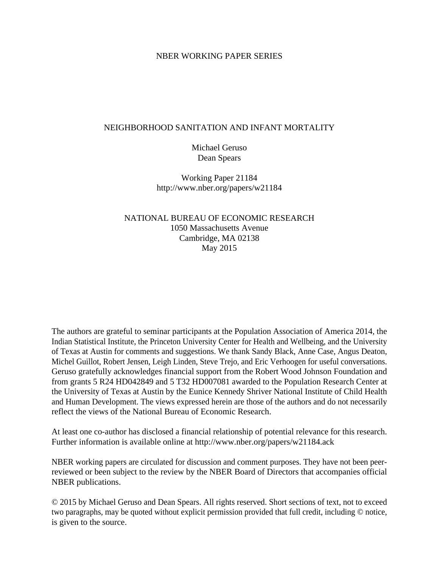### NBER WORKING PAPER SERIES

### NEIGHBORHOOD SANITATION AND INFANT MORTALITY

Michael Geruso Dean Spears

Working Paper 21184 http://www.nber.org/papers/w21184

NATIONAL BUREAU OF ECONOMIC RESEARCH 1050 Massachusetts Avenue Cambridge, MA 02138 May 2015

The authors are grateful to seminar participants at the Population Association of America 2014, the Indian Statistical Institute, the Princeton University Center for Health and Wellbeing, and the University of Texas at Austin for comments and suggestions. We thank Sandy Black, Anne Case, Angus Deaton, Michel Guillot, Robert Jensen, Leigh Linden, Steve Trejo, and Eric Verhoogen for useful conversations. Geruso gratefully acknowledges financial support from the Robert Wood Johnson Foundation and from grants 5 R24 HD042849 and 5 T32 HD007081 awarded to the Population Research Center at the University of Texas at Austin by the Eunice Kennedy Shriver National Institute of Child Health and Human Development. The views expressed herein are those of the authors and do not necessarily reflect the views of the National Bureau of Economic Research.

At least one co-author has disclosed a financial relationship of potential relevance for this research. Further information is available online at http://www.nber.org/papers/w21184.ack

NBER working papers are circulated for discussion and comment purposes. They have not been peerreviewed or been subject to the review by the NBER Board of Directors that accompanies official NBER publications.

© 2015 by Michael Geruso and Dean Spears. All rights reserved. Short sections of text, not to exceed two paragraphs, may be quoted without explicit permission provided that full credit, including © notice, is given to the source.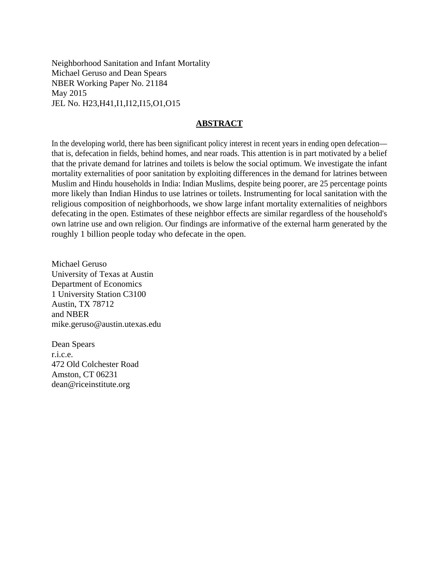Neighborhood Sanitation and Infant Mortality Michael Geruso and Dean Spears NBER Working Paper No. 21184 May 2015 JEL No. H23,H41,I1,I12,I15,O1,O15

### **ABSTRACT**

In the developing world, there has been significant policy interest in recent years in ending open defecation that is, defecation in fields, behind homes, and near roads. This attention is in part motivated by a belief that the private demand for latrines and toilets is below the social optimum. We investigate the infant mortality externalities of poor sanitation by exploiting differences in the demand for latrines between Muslim and Hindu households in India: Indian Muslims, despite being poorer, are 25 percentage points more likely than Indian Hindus to use latrines or toilets. Instrumenting for local sanitation with the religious composition of neighborhoods, we show large infant mortality externalities of neighbors defecating in the open. Estimates of these neighbor effects are similar regardless of the household's own latrine use and own religion. Our findings are informative of the external harm generated by the roughly 1 billion people today who defecate in the open.

Michael Geruso University of Texas at Austin Department of Economics 1 University Station C3100 Austin, TX 78712 and NBER mike.geruso@austin.utexas.edu

Dean Spears r.i.c.e. 472 Old Colchester Road Amston, CT 06231 dean@riceinstitute.org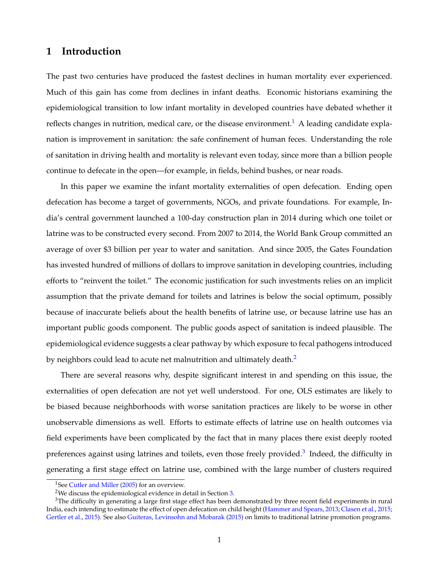# <span id="page-2-3"></span>**1 Introduction**

The past two centuries have produced the fastest declines in human mortality ever experienced. Much of this gain has come from declines in infant deaths. Economic historians examining the epidemiological transition to low infant mortality in developed countries have debated whether it reflects changes in nutrition, medical care, or the disease environment.<sup>1</sup> A leading candidate explanation is improvement in sanitation: the safe confinement of human feces. Understanding the role of sanitation in driving health and mortality is relevant even today, since more than a billion people continue to defecate in the open—for example, in fields, behind bushes, or near roads.

In this paper we examine the infant mortality externalities of open defecation. Ending open defecation has become a target of governments, NGOs, and private foundations. For example, India's central government launched a 100-day construction plan in 2014 during which one toilet or latrine was to be constructed every second. From 2007 to 2014, the World Bank Group committed an average of over \$3 billion per year to water and sanitation. And since 2005, the Gates Foundation has invested hundred of millions of dollars to improve sanitation in developing countries, including efforts to "reinvent the toilet." The economic justification for such investments relies on an implicit assumption that the private demand for toilets and latrines is below the social optimum, possibly because of inaccurate beliefs about the health benefits of latrine use, or because latrine use has an important public goods component. The public goods aspect of sanitation is indeed plausible. The epidemiological evidence suggests a clear pathway by which exposure to fecal pathogens introduced by neighbors could lead to acute net malnutrition and ultimately death.<sup>2</sup>

There are several reasons why, despite significant interest in and spending on this issue, the externalities of open defecation are not yet well understood. For one, OLS estimates are likely to be biased because neighborhoods with worse sanitation practices are likely to be worse in other unobservable dimensions as well. Efforts to estimate effects of latrine use on health outcomes via field experiments have been complicated by the fact that in many places there exist deeply rooted preferences against using latrines and toilets, even those freely provided.<sup>[3](#page-2-2)</sup> Indeed, the difficulty in generating a first stage effect on latrine use, combined with the large number of clusters required

<span id="page-2-0"></span><sup>&</sup>lt;sup>1</sup>See [Cutler and Miller](#page-28-0) [\(2005\)](#page-28-0) for an overview.

<span id="page-2-2"></span><span id="page-2-1"></span><sup>2</sup>We discuss the epidemiological evidence in detail in Section [3.](#page-8-0)

 $3$ The difficulty in generating a large first stage effect has been demonstrated by three recent field experiments in rural India, each intending to estimate the effect of open defecation on child height [\(Hammer and Spears,](#page-28-1) [2013;](#page-28-1) [Clasen et al.,](#page-27-0) [2015;](#page-27-0) [Gertler et al.,](#page-28-2) [2015\)](#page-28-2). See also [Guiteras, Levinsohn and Mobarak](#page-28-3) [\(2015\)](#page-28-3) on limits to traditional latrine promotion programs.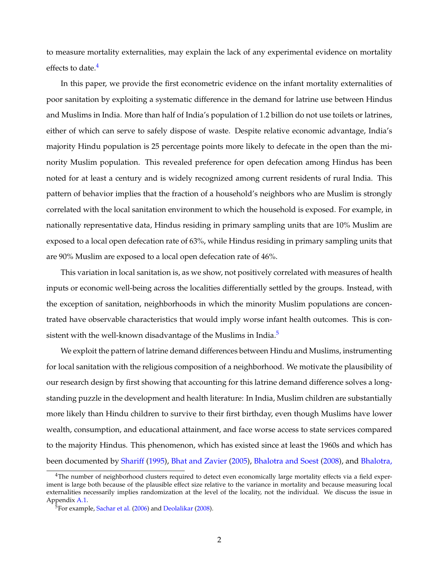to measure mortality externalities, may explain the lack of any experimental evidence on mortality effects to date.<sup>4</sup>

In this paper, we provide the first econometric evidence on the infant mortality externalities of poor sanitation by exploiting a systematic difference in the demand for latrine use between Hindus and Muslims in India. More than half of India's population of 1.2 billion do not use toilets or latrines, either of which can serve to safely dispose of waste. Despite relative economic advantage, India's majority Hindu population is 25 percentage points more likely to defecate in the open than the minority Muslim population. This revealed preference for open defecation among Hindus has been noted for at least a century and is widely recognized among current residents of rural India. This pattern of behavior implies that the fraction of a household's neighbors who are Muslim is strongly correlated with the local sanitation environment to which the household is exposed. For example, in nationally representative data, Hindus residing in primary sampling units that are 10% Muslim are exposed to a local open defecation rate of 63%, while Hindus residing in primary sampling units that are 90% Muslim are exposed to a local open defecation rate of 46%.

This variation in local sanitation is, as we show, not positively correlated with measures of health inputs or economic well-being across the localities differentially settled by the groups. Instead, with the exception of sanitation, neighborhoods in which the minority Muslim populations are concentrated have observable characteristics that would imply worse infant health outcomes. This is consistent with the well-known disadvantage of the Muslims in India. $<sup>5</sup>$ </sup>

We exploit the pattern of latrine demand differences between Hindu and Muslims, instrumenting for local sanitation with the religious composition of a neighborhood. We motivate the plausibility of our research design by first showing that accounting for this latrine demand difference solves a longstanding puzzle in the development and health literature: In India, Muslim children are substantially more likely than Hindu children to survive to their first birthday, even though Muslims have lower wealth, consumption, and educational attainment, and face worse access to state services compared to the majority Hindus. This phenomenon, which has existed since at least the 1960s and which has been documented by [Shariff](#page-30-0) [\(1995\)](#page-30-0), [Bhat and Zavier](#page-27-1) [\(2005\)](#page-27-1), [Bhalotra and Soest](#page-27-2) [\(2008\)](#page-27-2), and [Bhalotra,](#page-27-3)

<span id="page-3-0"></span><sup>&</sup>lt;sup>4</sup>The number of neighborhood clusters required to detect even economically large mortality effects via a field exper[iment is large both because of the plausible effect size relative to the variance in mortality and because measuring local](#page-27-3) [externalities necessarily implies randomization at the level of the locality, not the individual. We discuss the issue in](#page-27-3) [Appendix](#page-27-3) [A.1.](#page-42-0)

<span id="page-3-1"></span><sup>&</sup>lt;sup>5</sup>For example, [Sachar et al.](#page-29-0) [\(2006\)](#page-29-0) and [Deolalikar](#page-28-4) [\(2008\)](#page-28-4).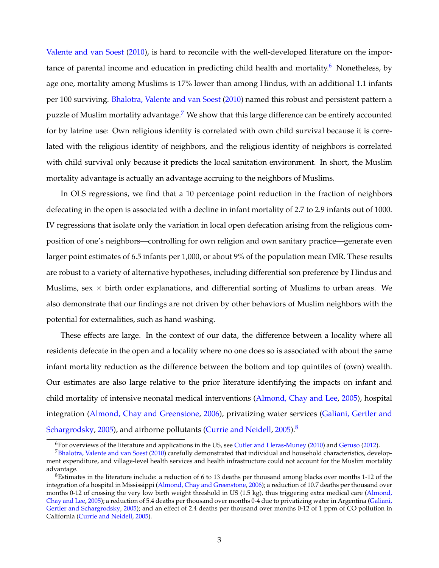[Valente and van Soest](#page-27-3) [\(2010\)](#page-27-3), is hard to reconcile with the well-developed literature on the importance of parental income and education in predicting child health and mortality.<sup>6</sup> Nonetheless, by age one, mortality among Muslims is 17% lower than among Hindus, with an additional 1.1 infants per 100 surviving. [Bhalotra, Valente and van Soest](#page-27-3) [\(2010\)](#page-27-3) named this robust and persistent pattern a puzzle of Muslim mortality advantage.<sup>[7](#page-4-1)</sup> We show that this large difference can be entirely accounted for by latrine use: Own religious identity is correlated with own child survival because it is correlated with the religious identity of neighbors, and the religious identity of neighbors is correlated with child survival only because it predicts the local sanitation environment. In short, the Muslim mortality advantage is actually an advantage accruing to the neighbors of Muslims.

In OLS regressions, we find that a 10 percentage point reduction in the fraction of neighbors defecating in the open is associated with a decline in infant mortality of 2.7 to 2.9 infants out of 1000. IV regressions that isolate only the variation in local open defecation arising from the religious composition of one's neighbors—controlling for own religion and own sanitary practice—generate even larger point estimates of 6.5 infants per 1,000, or about 9% of the population mean IMR. These results are robust to a variety of alternative hypotheses, including differential son preference by Hindus and Muslims, sex  $\times$  birth order explanations, and differential sorting of Muslims to urban areas. We also demonstrate that our findings are not driven by other behaviors of Muslim neighbors with the potential for externalities, such as hand washing.

These effects are large. In the context of our data, the difference between a locality where all residents defecate in the open and a locality where no one does so is associated with about the same infant mortality reduction as the difference between the bottom and top quintiles of (own) wealth. Our estimates are also large relative to the prior literature identifying the impacts on infant and child mortality of intensive neonatal medical interventions [\(Almond, Chay and Lee,](#page-27-4) [2005\)](#page-27-4), hospital integration [\(Almond, Chay and Greenstone,](#page-27-5) [2006\)](#page-27-5), privatizing water services [\(Galiani, Gertler and](#page-28-5) [Schargrodsky,](#page-28-5) [2005\)](#page-28-6), and airborne pollutants [\(Currie and Neidell,](#page-28-6) 2005).<sup>8</sup>

<span id="page-4-1"></span><span id="page-4-0"></span> $6$ For overviews of the literature and applications in the US, see [Cutler and Lleras-Muney](#page-28-7) [\(2010\)](#page-28-7) and [Geruso](#page-28-8) [\(2012\)](#page-28-8).

[<sup>7</sup>Bhalotra, Valente and van Soest](#page-27-3) [\(2010\)](#page-27-3) carefully demonstrated that individual and household characteristics, development expenditure, and village-level health services and health infrastructure could not account for the Muslim mortality advantage.

<span id="page-4-2"></span> $8$ Estimates in the literature include: a reduction of 6 to 13 deaths per thousand among blacks over months 1-12 of the integration of a hospital in Mississippi [\(Almond, Chay and Greenstone,](#page-27-5) [2006\)](#page-27-5); a reduction of 10.7 deaths per thousand over months 0-12 of crossing the very low birth weight threshold in US (1.5 kg), thus triggering extra medical care [\(Almond,](#page-27-4) [Chay and Lee,](#page-27-4) [2005\)](#page-27-4); a reduction of 5.4 deaths per thousand over months 0-4 due to privatizing water in Argentina [\(Galiani,](#page-28-5) [Gertler and Schargrodsky,](#page-28-5) [2005\)](#page-28-5); and an effect of 2.4 deaths per thousand over months 0-12 of 1 ppm of CO pollution in California [\(Currie and Neidell,](#page-28-6) [2005\)](#page-28-6).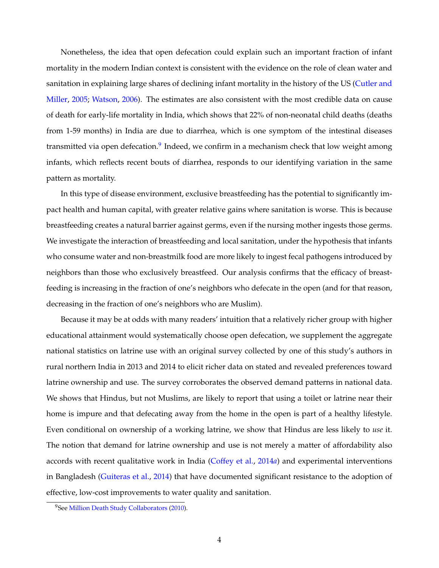Nonetheless, the idea that open defecation could explain such an important fraction of infant mortality in the modern Indian context is consistent with the evidence on the role of clean water and sanitation in explaining large shares of declining infant mortality in the history of the US [\(Cutler and](#page-28-0) [Miller,](#page-28-0) [2005;](#page-28-0) [Watson,](#page-30-1) [2006\)](#page-30-1). The estimates are also consistent with the most credible data on cause of death for early-life mortality in India, which shows that 22% of non-neonatal child deaths (deaths from 1-59 months) in India are due to diarrhea, which is one symptom of the intestinal diseases transmitted via open defecation.<sup>9</sup> Indeed, we confirm in a mechanism check that low weight among infants, which reflects recent bouts of diarrhea, responds to our identifying variation in the same pattern as mortality.

In this type of disease environment, exclusive breastfeeding has the potential to significantly impact health and human capital, with greater relative gains where sanitation is worse. This is because breastfeeding creates a natural barrier against germs, even if the nursing mother ingests those germs. We investigate the interaction of breastfeeding and local sanitation, under the hypothesis that infants who consume water and non-breastmilk food are more likely to ingest fecal pathogens introduced by neighbors than those who exclusively breastfeed. Our analysis confirms that the efficacy of breastfeeding is increasing in the fraction of one's neighbors who defecate in the open (and for that reason, decreasing in the fraction of one's neighbors who are Muslim).

Because it may be at odds with many readers' intuition that a relatively richer group with higher educational attainment would systematically choose open defecation, we supplement the aggregate national statistics on latrine use with an original survey collected by one of this study's authors in rural northern India in 2013 and 2014 to elicit richer data on stated and revealed preferences toward latrine ownership and use. The survey corroborates the observed demand patterns in national data. We shows that Hindus, but not Muslims, are likely to report that using a toilet or latrine near their home is impure and that defecating away from the home in the open is part of a healthy lifestyle. Even conditional on ownership of a working latrine, we show that Hindus are less likely to *use* it. The notion that demand for latrine ownership and use is not merely a matter of affordability also accords with recent qualitative work in India [\(Coffey et al.,](#page-27-6) [2014](#page-27-6)*a*) and experimental interventions in Bangladesh [\(Guiteras et al.,](#page-28-9) [2014\)](#page-28-9) that have documented significant resistance to the adoption of effective, low-cost improvements to water quality and sanitation.

<span id="page-5-0"></span><sup>&</sup>lt;sup>9</sup>See [Million Death Study Collaborators](#page-29-1) [\(2010\)](#page-29-1).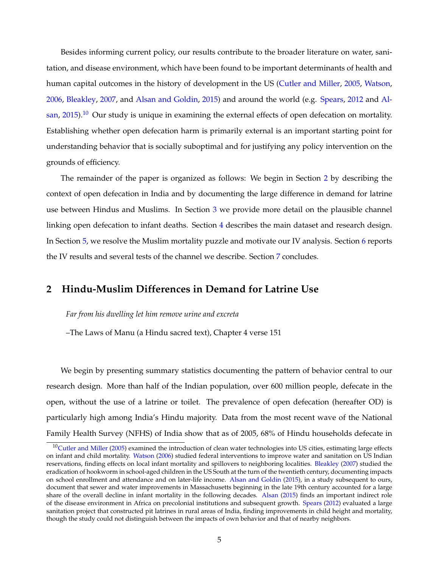Besides informing current policy, our results contribute to the broader literature on water, sanitation, and disease environment, which have been found to be important determinants of health and human capital outcomes in the history of development in the US [\(Cutler and Miller,](#page-28-0) [2005,](#page-28-0) [Watson,](#page-30-1) [2006,](#page-30-1) [Bleakley,](#page-27-7) [2007,](#page-27-7) and [Alsan and Goldin,](#page-27-8) [2015\)](#page-27-8) and around the world (e.g. [Spears,](#page-30-2) [2012](#page-30-2) and [Al](#page-27-9)[san,](#page-27-9) [2015\)](#page-27-9).<sup>10</sup> Our study is unique in examining the external effects of open defecation on mortality. Establishing whether open defecation harm is primarily external is an important starting point for understanding behavior that is socially suboptimal and for justifying any policy intervention on the grounds of efficiency.

The remainder of the paper is organized as follows: We begin in Section [2](#page-6-1) by describing the context of open defecation in India and by documenting the large difference in demand for latrine use between Hindus and Muslims. In Section [3](#page-8-0) we provide more detail on the plausible channel linking open defecation to infant deaths. Section [4](#page-10-0) describes the main dataset and research design. In Section [5,](#page-15-0) we resolve the Muslim mortality puzzle and motivate our IV analysis. Section [6](#page-18-0) reports the IV results and several tests of the channel we describe. Section [7](#page-26-0) concludes.

# <span id="page-6-1"></span>**2 Hindu-Muslim Differences in Demand for Latrine Use**

*Far from his dwelling let him remove urine and excreta*

–The Laws of Manu (a Hindu sacred text), Chapter 4 verse 151

We begin by presenting summary statistics documenting the pattern of behavior central to our research design. More than half of the Indian population, over 600 million people, defecate in the open, without the use of a latrine or toilet. The prevalence of open defecation (hereafter OD) is particularly high among India's Hindu majority. Data from the most recent wave of the National Family Health Survey (NFHS) of India show that as of 2005, 68% of Hindu households defecate in

<span id="page-6-0"></span> $10$ Cutler and Miller [\(2005\)](#page-28-0) examined the introduction of clean water technologies into US cities, estimating large effects on infant and child mortality. [Watson](#page-30-1) [\(2006\)](#page-30-1) studied federal interventions to improve water and sanitation on US Indian reservations, finding effects on local infant mortality and spillovers to neighboring localities. [Bleakley](#page-27-7) [\(2007\)](#page-27-7) studied the eradication of hookworm in school-aged children in the US South at the turn of the twentieth century, documenting impacts on school enrollment and attendance and on later-life income. [Alsan and Goldin](#page-27-8) [\(2015\)](#page-27-8), in a study subsequent to ours, document that sewer and water improvements in Massachusetts beginning in the late 19th century accounted for a large share of the overall decline in infant mortality in the following decades. [Alsan](#page-27-9) [\(2015\)](#page-27-9) finds an important indirect role of the disease environment in Africa on precolonial institutions and subsequent growth. [Spears](#page-30-2) [\(2012\)](#page-30-2) evaluated a large sanitation project that constructed pit latrines in rural areas of India, finding improvements in child height and mortality, though the study could not distinguish between the impacts of own behavior and that of nearby neighbors.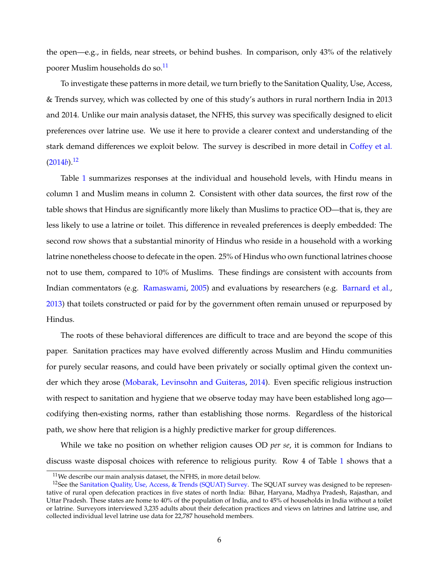the open—e.g., in fields, near streets, or behind bushes. In comparison, only 43% of the relatively poorer Muslim households do so[.11](#page-7-0)

To investigate these patterns in more detail, we turn briefly to the Sanitation Quality, Use, Access, & Trends survey, which was collected by one of this study's authors in rural northern India in 2013 and 2014. Unlike our main analysis dataset, the NFHS, this survey was specifically designed to elicit preferences over latrine use. We use it here to provide a clearer context and understanding of the stark demand differences we exploit below. The survey is described in more detail in [Coffey et al.](#page-28-10)  $(2014b).$  $(2014b).$ <sup>12</sup>

Table [1](#page-35-0) summarizes responses at the individual and household levels, with Hindu means in column 1 and Muslim means in column 2. Consistent with other data sources, the first row of the table shows that Hindus are significantly more likely than Muslims to practice OD—that is, they are less likely to use a latrine or toilet. This difference in revealed preferences is deeply embedded: The second row shows that a substantial minority of Hindus who reside in a household with a working latrine nonetheless choose to defecate in the open. 25% of Hindus who own functional latrines choose not to use them, compared to 10% of Muslims. These findings are consistent with accounts from Indian commentators (e.g. [Ramaswami,](#page-29-2) [2005\)](#page-29-2) and evaluations by researchers (e.g. [Barnard et al.,](#page-27-10) [2013\)](#page-27-10) that toilets constructed or paid for by the government often remain unused or repurposed by Hindus.

The roots of these behavioral differences are difficult to trace and are beyond the scope of this paper. Sanitation practices may have evolved differently across Muslim and Hindu communities for purely secular reasons, and could have been privately or socially optimal given the context under which they arose [\(Mobarak, Levinsohn and Guiteras,](#page-29-3) [2014\)](#page-29-3). Even specific religious instruction with respect to sanitation and hygiene that we observe today may have been established long agocodifying then-existing norms, rather than establishing those norms. Regardless of the historical path, we show here that religion is a highly predictive marker for group differences.

While we take no position on whether religion causes OD *per se*, it is common for Indians to discuss waste disposal choices with reference to religious purity. Row 4 of Table [1](#page-35-0) shows that a

<span id="page-7-1"></span><span id="page-7-0"></span><sup>&</sup>lt;sup>11</sup>We describe our main analysis dataset, the NFHS, in more detail below.

<sup>&</sup>lt;sup>12</sup>See the [Sanitation Quality, Use, Access, & Trends \(SQUAT\) Survey.](http://squatreport.in) The SQUAT survey was designed to be representative of rural open defecation practices in five states of north India: Bihar, Haryana, Madhya Pradesh, Rajasthan, and Uttar Pradesh. These states are home to 40% of the population of India, and to 45% of households in India without a toilet or latrine. Surveyors interviewed 3,235 adults about their defecation practices and views on latrines and latrine use, and collected individual level latrine use data for 22,787 household members.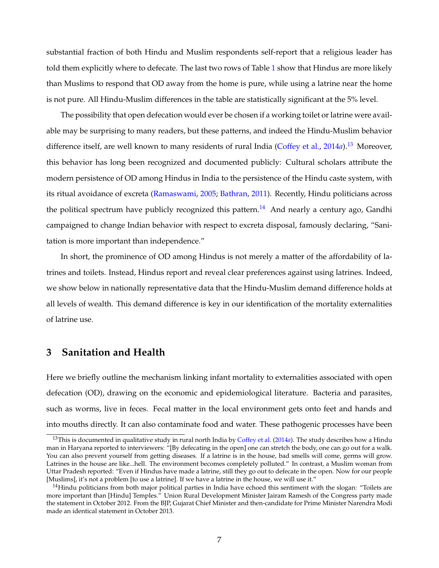substantial fraction of both Hindu and Muslim respondents self-report that a religious leader has told them explicitly where to defecate. The last two rows of Table [1](#page-35-0) show that Hindus are more likely than Muslims to respond that OD away from the home is pure, while using a latrine near the home is not pure. All Hindu-Muslim differences in the table are statistically significant at the 5% level.

The possibility that open defecation would ever be chosen if a working toilet or latrine were available may be surprising to many readers, but these patterns, and indeed the Hindu-Muslim behavior difference itself, are well known to many residents of rural India [\(Coffey et al.,](#page-27-6) [2014](#page-27-6)*a*).<sup>13</sup> Moreover, this behavior has long been recognized and documented publicly: Cultural scholars attribute the modern persistence of OD among Hindus in India to the persistence of the Hindu caste system, with its ritual avoidance of excreta [\(Ramaswami,](#page-29-2) [2005;](#page-29-2) [Bathran,](#page-27-11) [2011\)](#page-27-11). Recently, Hindu politicians across the political spectrum have publicly recognized this pattern.<sup>[14](#page-8-2)</sup> And nearly a century ago, Gandhi campaigned to change Indian behavior with respect to excreta disposal, famously declaring, "Sanitation is more important than independence."

In short, the prominence of OD among Hindus is not merely a matter of the affordability of latrines and toilets. Instead, Hindus report and reveal clear preferences against using latrines. Indeed, we show below in nationally representative data that the Hindu-Muslim demand difference holds at all levels of wealth. This demand difference is key in our identification of the mortality externalities of latrine use.

# <span id="page-8-0"></span>**3 Sanitation and Health**

Here we briefly outline the mechanism linking infant mortality to externalities associated with open defecation (OD), drawing on the economic and epidemiological literature. Bacteria and parasites, such as worms, live in feces. Fecal matter in the local environment gets onto feet and hands and into mouths directly. It can also contaminate food and water. These pathogenic processes have been

<span id="page-8-1"></span><sup>13</sup>This is documented in qualitative study in rural north India by [Coffey et al.](#page-27-6) [\(2014](#page-27-6)*a*). The study describes how a Hindu man in Haryana reported to interviewers: "[By defecating in the open] one can stretch the body, one can go out for a walk. You can also prevent yourself from getting diseases. If a latrine is in the house, bad smells will come, germs will grow. Latrines in the house are like...hell. The environment becomes completely polluted." In contrast, a Muslim woman from Uttar Pradesh reported: "Even if Hindus have made a latrine, still they go out to defecate in the open. Now for our people [Muslims], it's not a problem [to use a latrine]. If we have a latrine in the house, we will use it."

<span id="page-8-2"></span> $14$ Hindu politicians from both major political parties in India have echoed this sentiment with the slogan: "Toilets are more important than [Hindu] Temples." Union Rural Development Minister Jairam Ramesh of the Congress party made the statement in October 2012. From the BJP, Gujarat Chief Minister and then-candidate for Prime Minister Narendra Modi made an identical statement in October 2013.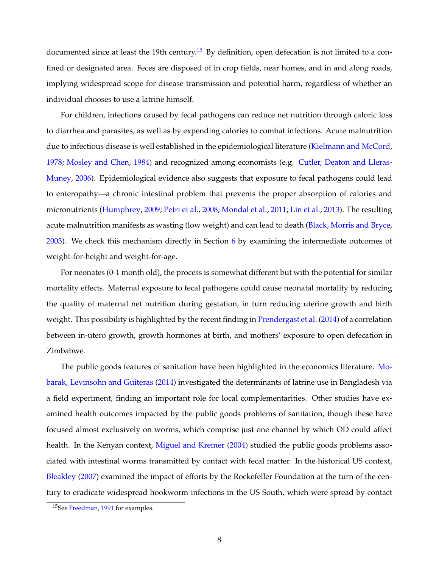documented since at least the 19th century.<sup>15</sup> By definition, open defecation is not limited to a confined or designated area. Feces are disposed of in crop fields, near homes, and in and along roads, implying widespread scope for disease transmission and potential harm, regardless of whether an individual chooses to use a latrine himself.

For children, infections caused by fecal pathogens can reduce net nutrition through caloric loss to diarrhea and parasites, as well as by expending calories to combat infections. Acute malnutrition due to infectious disease is well established in the epidemiological literature [\(Kielmann and McCord,](#page-29-4) [1978;](#page-29-4) [Mosley and Chen,](#page-29-5) [1984\)](#page-29-5) and recognized among economists (e.g. [Cutler, Deaton and Lleras-](#page-28-11)[Muney,](#page-28-11) [2006\)](#page-28-11). Epidemiological evidence also suggests that exposure to fecal pathogens could lead to enteropathy—a chronic intestinal problem that prevents the proper absorption of calories and micronutrients [\(Humphrey,](#page-29-6) [2009;](#page-29-6) [Petri et al.,](#page-29-7) [2008;](#page-29-7) [Mondal et al.,](#page-29-8) [2011;](#page-29-8) [Lin et al.,](#page-29-9) [2013\)](#page-29-9). The resulting acute malnutrition manifests as wasting (low weight) and can lead to death [\(Black, Morris and Bryce,](#page-27-12) [2003\)](#page-27-12). We check this mechanism directly in Section [6](#page-18-0) by examining the intermediate outcomes of weight-for-height and weight-for-age.

For neonates (0-1 month old), the process is somewhat different but with the potential for similar mortality effects. Maternal exposure to fecal pathogens could cause neonatal mortality by reducing the quality of maternal net nutrition during gestation, in turn reducing uterine growth and birth weight. This possibility is highlighted by the recent finding in [Prendergast et al.](#page-29-10) [\(2014\)](#page-29-10) of a correlation between in-utero growth, growth hormones at birth, and mothers' exposure to open defecation in Zimbabwe.

The public goods features of sanitation have been highlighted in the economics literature. [Mo](#page-29-3)[barak, Levinsohn and Guiteras](#page-29-3) [\(2014\)](#page-29-3) investigated the determinants of latrine use in Bangladesh via a field experiment, finding an important role for local complementarities. Other studies have examined health outcomes impacted by the public goods problems of sanitation, though these have focused almost exclusively on worms, which comprise just one channel by which OD could affect health. In the Kenyan context, [Miguel and Kremer](#page-29-11) [\(2004\)](#page-29-11) studied the public goods problems associated with intestinal worms transmitted by contact with fecal matter. In the historical US context, [Bleakley](#page-27-7) [\(2007\)](#page-27-7) examined the impact of efforts by the Rockefeller Foundation at the turn of the century to eradicate widespread hookworm infections in the US South, which were spread by contact

<span id="page-9-0"></span><sup>&</sup>lt;sup>15</sup>See [Freedman,](#page-28-12) [1991](#page-28-12) for examples.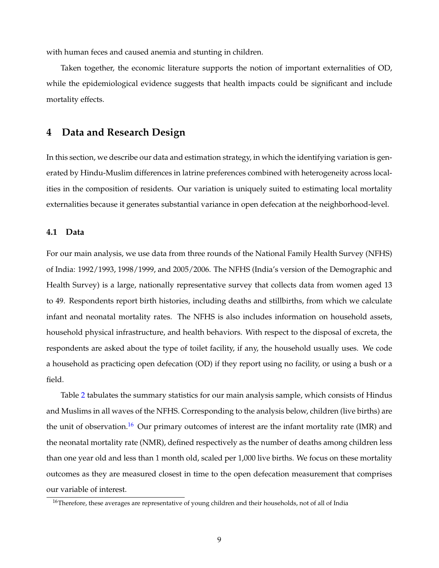with human feces and caused anemia and stunting in children.

Taken together, the economic literature supports the notion of important externalities of OD, while the epidemiological evidence suggests that health impacts could be significant and include mortality effects.

# <span id="page-10-0"></span>**4 Data and Research Design**

In this section, we describe our data and estimation strategy, in which the identifying variation is generated by Hindu-Muslim differences in latrine preferences combined with heterogeneity across localities in the composition of residents. Our variation is uniquely suited to estimating local mortality externalities because it generates substantial variance in open defecation at the neighborhood-level.

### **4.1 Data**

For our main analysis, we use data from three rounds of the National Family Health Survey (NFHS) of India: 1992/1993, 1998/1999, and 2005/2006. The NFHS (India's version of the Demographic and Health Survey) is a large, nationally representative survey that collects data from women aged 13 to 49. Respondents report birth histories, including deaths and stillbirths, from which we calculate infant and neonatal mortality rates. The NFHS is also includes information on household assets, household physical infrastructure, and health behaviors. With respect to the disposal of excreta, the respondents are asked about the type of toilet facility, if any, the household usually uses. We code a household as practicing open defecation (OD) if they report using no facility, or using a bush or a field.

Table [2](#page-36-0) tabulates the summary statistics for our main analysis sample, which consists of Hindus and Muslims in all waves of the NFHS. Corresponding to the analysis below, children (live births) are the unit of observation.<sup>16</sup> Our primary outcomes of interest are the infant mortality rate (IMR) and the neonatal mortality rate (NMR), defined respectively as the number of deaths among children less than one year old and less than 1 month old, scaled per 1,000 live births. We focus on these mortality outcomes as they are measured closest in time to the open defecation measurement that comprises our variable of interest.

<span id="page-10-1"></span><sup>&</sup>lt;sup>16</sup>Therefore, these averages are representative of young children and their households, not of all of India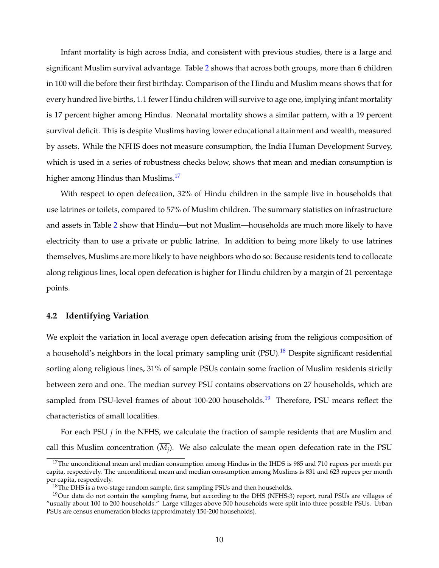Infant mortality is high across India, and consistent with previous studies, there is a large and significant Muslim survival advantage. Table [2](#page-36-0) shows that across both groups, more than 6 children in 100 will die before their first birthday. Comparison of the Hindu and Muslim means shows that for every hundred live births, 1.1 fewer Hindu children will survive to age one, implying infant mortality is 17 percent higher among Hindus. Neonatal mortality shows a similar pattern, with a 19 percent survival deficit. This is despite Muslims having lower educational attainment and wealth, measured by assets. While the NFHS does not measure consumption, the India Human Development Survey, which is used in a series of robustness checks below, shows that mean and median consumption is higher among Hindus than Muslims.<sup>17</sup>

With respect to open defecation, 32% of Hindu children in the sample live in households that use latrines or toilets, compared to 57% of Muslim children. The summary statistics on infrastructure and assets in Table [2](#page-36-0) show that Hindu—but not Muslim—households are much more likely to have electricity than to use a private or public latrine. In addition to being more likely to use latrines themselves, Muslims are more likely to have neighbors who do so: Because residents tend to collocate along religious lines, local open defecation is higher for Hindu children by a margin of 21 percentage points.

### **4.2 Identifying Variation**

We exploit the variation in local average open defecation arising from the religious composition of a household's neighbors in the local primary sampling unit  $(PSU)$ .<sup>[18](#page-11-1)</sup> Despite significant residential sorting along religious lines, 31% of sample PSUs contain some fraction of Muslim residents strictly between zero and one. The median survey PSU contains observations on 27 households, which are sampled from PSU-level frames of about 100-200 households.<sup>[19](#page-11-2)</sup> Therefore, PSU means reflect the characteristics of small localities.

For each PSU *j* in the NFHS, we calculate the fraction of sample residents that are Muslim and call this Muslim concentration  $(M_i)$ . We also calculate the mean open defecation rate in the PSU

<span id="page-11-0"></span> $17$ The unconditional mean and median consumption among Hindus in the IHDS is 985 and 710 rupees per month per capita, respectively. The unconditional mean and median consumption among Muslims is 831 and 623 rupees per month per capita, respectively.

<span id="page-11-2"></span><span id="page-11-1"></span> $18$ The DHS is a two-stage random sample, first sampling PSUs and then households.

 $19$ Our data do not contain the sampling frame, but according to the DHS (NFHS-3) report, rural PSUs are villages of "usually about 100 to 200 households." Large villages above 500 households were split into three possible PSUs. Urban PSUs are census enumeration blocks (approximately 150-200 households).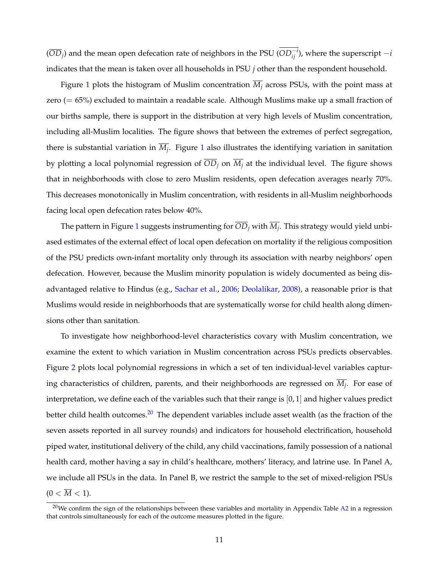$(\overline{OD}_j)$  and the mean open defecation rate of neighbors in the PSU  $(OD_{ij}^{-i})$ , where the superscript  $-i$ indicates that the mean is taken over all households in PSU *j* other than the respondent household.

Figure [1](#page-31-0) plots the histogram of Muslim concentration  $\overline{M}_i$  across PSUs, with the point mass at zero (= 65%) excluded to maintain a readable scale. Although Muslims make up a small fraction of our births sample, there is support in the distribution at very high levels of Muslim concentration, including all-Muslim localities. The figure shows that between the extremes of perfect segregation, there is substantial variation in  $\overline{M_i}$ . Figure [1](#page-31-0) also illustrates the identifying variation in sanitation by plotting a local polynomial regression of  $\overline{OD}_i$  on  $\overline{M}_i$  at the individual level. The figure shows that in neighborhoods with close to zero Muslim residents, open defecation averages nearly 70%. This decreases monotonically in Muslim concentration, with residents in all-Muslim neighborhoods facing local open defecation rates below 40%.

The pattern in Figure [1](#page-31-0) suggests instrumenting for  $\overline{OD}_i$  with  $\overline{M}_i$ . This strategy would yield unbiased estimates of the external effect of local open defecation on mortality if the religious composition of the PSU predicts own-infant mortality only through its association with nearby neighbors' open defecation. However, because the Muslim minority population is widely documented as being disadvantaged relative to Hindus (e.g., [Sachar et al.,](#page-29-0) [2006;](#page-29-0) [Deolalikar,](#page-28-4) [2008\)](#page-28-4), a reasonable prior is that Muslims would reside in neighborhoods that are systematically worse for child health along dimensions other than sanitation.

To investigate how neighborhood-level characteristics covary with Muslim concentration, we examine the extent to which variation in Muslim concentration across PSUs predicts observables. Figure [2](#page-32-0) plots local polynomial regressions in which a set of ten individual-level variables capturing characteristics of children, parents, and their neighborhoods are regressed on  $\overline{M_i}$ . For ease of interpretation, we define each of the variables such that their range is  $[0, 1]$  and higher values predict better child health outcomes.<sup>[20](#page-12-0)</sup> The dependent variables include asset wealth (as the fraction of the seven assets reported in all survey rounds) and indicators for household electrification, household piped water, institutional delivery of the child, any child vaccinations, family possession of a national health card, mother having a say in child's healthcare, mothers' literacy, and latrine use. In Panel A, we include all PSUs in the data. In Panel B, we restrict the sample to the set of mixed-religion PSUs  $(0 < \overline{M} < 1).$ 

<span id="page-12-0"></span> $20$ We confirm the sign of the relationships between these variables and mortality in Appendix Table [A2](#page-47-0) in a regression that controls simultaneously for each of the outcome measures plotted in the figure.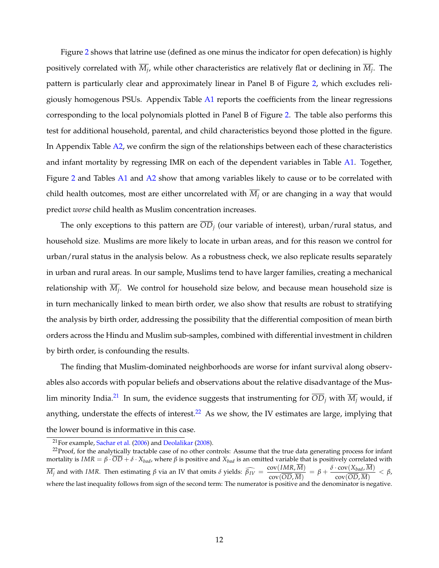Figure [2](#page-32-0) shows that latrine use (defined as one minus the indicator for open defecation) is highly positively correlated with  $\overline{M}_i$ , while other characteristics are relatively flat or declining in  $\overline{M}_i$ . The pattern is particularly clear and approximately linear in Panel B of Figure [2,](#page-32-0) which excludes religiously homogenous PSUs. Appendix Table [A1](#page-46-0) reports the coefficients from the linear regressions corresponding to the local polynomials plotted in Panel B of Figure [2.](#page-32-0) The table also performs this test for additional household, parental, and child characteristics beyond those plotted in the figure. In Appendix Table [A2,](#page-47-0) we confirm the sign of the relationships between each of these characteristics and infant mortality by regressing IMR on each of the dependent variables in Table [A1.](#page-46-0) Together, Figure [2](#page-32-0) and Tables [A1](#page-46-0) and [A2](#page-47-0) show that among variables likely to cause or to be correlated with child health outcomes, most are either uncorrelated with  $\overline{M}_i$  or are changing in a way that would predict *worse* child health as Muslim concentration increases.

The only exceptions to this pattern are *ODj* (our variable of interest), urban/rural status, and household size. Muslims are more likely to locate in urban areas, and for this reason we control for urban/rural status in the analysis below. As a robustness check, we also replicate results separately in urban and rural areas. In our sample, Muslims tend to have larger families, creating a mechanical relationship with  $\overline{M_i}$ . We control for household size below, and because mean household size is in turn mechanically linked to mean birth order, we also show that results are robust to stratifying the analysis by birth order, addressing the possibility that the differential composition of mean birth orders across the Hindu and Muslim sub-samples, combined with differential investment in children by birth order, is confounding the results.

The finding that Muslim-dominated neighborhoods are worse for infant survival along observables also accords with popular beliefs and observations about the relative disadvantage of the Muslim minority India.<sup>21</sup> In sum, the evidence suggests that instrumenting for  $\overline{OD}_i$  with  $\overline{M}_i$  would, if anything, understate the effects of interest.<sup>[22](#page-13-1)</sup> As we show, the IV estimates are large, implying that the lower bound is informative in this case.

<span id="page-13-1"></span><span id="page-13-0"></span> $21$ For example, [Sachar et al.](#page-29-0) [\(2006\)](#page-29-0) and [Deolalikar](#page-28-4) [\(2008\)](#page-28-4).

 $22$ Proof, for the analytically tractable case of no other controls: Assume that the true data generating process for infant mortality is  $IMR = \beta \cdot \overline{OD} + \delta \cdot X_{bad}$ , where  $\beta$  is positive and  $X_{bad}$  is an omitted variable that is positively correlated with  $\overline{M_j}$  and with IMR. Then estimating  $\beta$  via an IV that omits  $\delta$  yields:  $\widehat{\beta_{IV}} = \frac{\text{cov}(IMR, M)}{\text{cov}(\overline{OD}, \overline{M})} = \beta + \frac{\delta \cdot \text{cov}(X_{bad}, M)}{\text{cov}(\overline{OD}, \overline{M})} < \beta$ , where the last inequality follows from sign of the second term: The numerator is positive and the denominator is negative.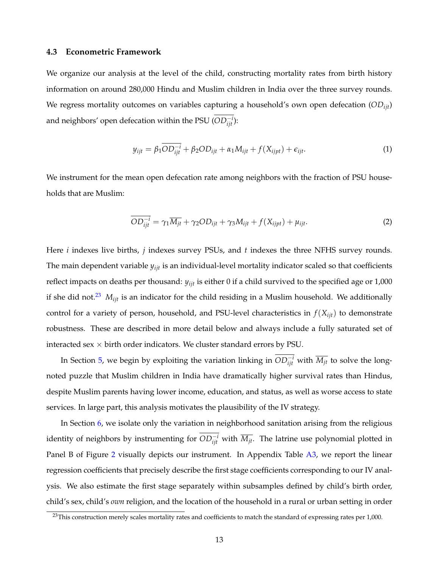### **4.3 Econometric Framework**

We organize our analysis at the level of the child, constructing mortality rates from birth history information on around 280,000 Hindu and Muslim children in India over the three survey rounds. We regress mortality outcomes on variables capturing a household's own open defecation (*ODijt*) and neighbors' open defecation within the PSU  $(OD_{ijt}^{-i})$ :

$$
y_{ijt} = \beta_1 \overline{OD_{ijt}^{-i}} + \beta_2 OD_{ijt} + \alpha_1 M_{ijt} + f(X_{ijpt}) + \epsilon_{ijt}.
$$
 (1)

We instrument for the mean open defecation rate among neighbors with the fraction of PSU households that are Muslim:

$$
\overline{OD_{ijt}^{-i}} = \gamma_1 \overline{M_{jt}} + \gamma_2 OD_{ijt} + \gamma_3 M_{ijt} + f(X_{ijpt}) + \mu_{ijt}.
$$
 (2)

Here *i* indexes live births, *j* indexes survey PSUs, and *t* indexes the three NFHS survey rounds. The main dependent variable *yijt* is an individual-level mortality indicator scaled so that coefficients reflect impacts on deaths per thousand: *yijt* is either 0 if a child survived to the specified age or 1,000 if she did not.<sup>[23](#page-14-0)</sup>  $M_{ijt}$  is an indicator for the child residing in a Muslim household. We additionally control for a variety of person, household, and PSU-level characteristics in  $f(X_{iit})$  to demonstrate robustness. These are described in more detail below and always include a fully saturated set of interacted sex  $\times$  birth order indicators. We cluster standard errors by PSU.

In Section [5,](#page-15-0) we begin by exploiting the variation linking in  $OD_{ijt}^{-i}$  with  $\overline{M_{jt}}$  to solve the longnoted puzzle that Muslim children in India have dramatically higher survival rates than Hindus, despite Muslim parents having lower income, education, and status, as well as worse access to state services. In large part, this analysis motivates the plausibility of the IV strategy.

In Section [6,](#page-18-0) we isolate only the variation in neighborhood sanitation arising from the religious identity of neighbors by instrumenting for  $OD_{ijt}^{-i}$  with  $\overline{M_{jt}}.$  The latrine use polynomial plotted in Panel B of Figure [2](#page-32-0) visually depicts our instrument. In Appendix Table [A3,](#page-48-0) we report the linear regression coefficients that precisely describe the first stage coefficients corresponding to our IV analysis. We also estimate the first stage separately within subsamples defined by child's birth order, child's sex, child's *own* religion, and the location of the household in a rural or urban setting in order

<span id="page-14-0"></span> $^{23}$ This construction merely scales mortality rates and coefficients to match the standard of expressing rates per 1,000.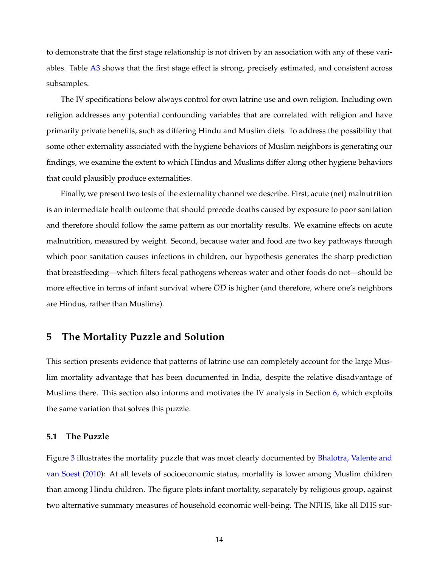to demonstrate that the first stage relationship is not driven by an association with any of these variables. Table [A3](#page-48-0) shows that the first stage effect is strong, precisely estimated, and consistent across subsamples.

The IV specifications below always control for own latrine use and own religion. Including own religion addresses any potential confounding variables that are correlated with religion and have primarily private benefits, such as differing Hindu and Muslim diets. To address the possibility that some other externality associated with the hygiene behaviors of Muslim neighbors is generating our findings, we examine the extent to which Hindus and Muslims differ along other hygiene behaviors that could plausibly produce externalities.

Finally, we present two tests of the externality channel we describe. First, acute (net) malnutrition is an intermediate health outcome that should precede deaths caused by exposure to poor sanitation and therefore should follow the same pattern as our mortality results. We examine effects on acute malnutrition, measured by weight. Second, because water and food are two key pathways through which poor sanitation causes infections in children, our hypothesis generates the sharp prediction that breastfeeding—which filters fecal pathogens whereas water and other foods do not—should be more effective in terms of infant survival where *OD* is higher (and therefore, where one's neighbors are Hindus, rather than Muslims).

## <span id="page-15-0"></span>**5 The Mortality Puzzle and Solution**

This section presents evidence that patterns of latrine use can completely account for the large Muslim mortality advantage that has been documented in India, despite the relative disadvantage of Muslims there. This section also informs and motivates the IV analysis in Section [6,](#page-18-0) which exploits the same variation that solves this puzzle.

#### **5.1 The Puzzle**

Figure [3](#page-33-0) illustrates the mortality puzzle that was most clearly documented by [Bhalotra, Valente and](#page-27-3) [van Soest](#page-27-3) [\(2010\)](#page-27-3): At all levels of socioeconomic status, mortality is lower among Muslim children than among Hindu children. The figure plots infant mortality, separately by religious group, against two alternative summary measures of household economic well-being. The NFHS, like all DHS sur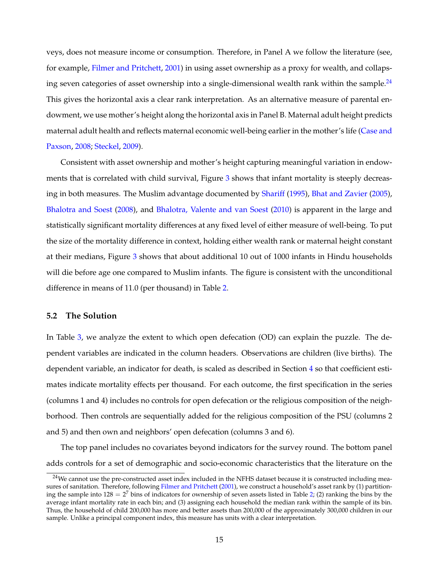veys, does not measure income or consumption. Therefore, in Panel A we follow the literature (see, for example, [Filmer and Pritchett,](#page-28-13) [2001\)](#page-28-13) in using asset ownership as a proxy for wealth, and collapsing seven categories of asset ownership into a single-dimensional wealth rank within the sample.<sup>24</sup> This gives the horizontal axis a clear rank interpretation. As an alternative measure of parental endowment, we use mother's height along the horizontal axis in Panel B. Maternal adult height predicts maternal adult health and reflects maternal economic well-being earlier in the mother's life [\(Case and](#page-27-13) [Paxson,](#page-27-13) [2008;](#page-27-13) [Steckel,](#page-30-3) [2009\)](#page-30-3).

Consistent with asset ownership and mother's height capturing meaningful variation in endow-ments that is correlated with child survival, Figure [3](#page-33-0) shows that infant mortality is steeply decreasing in both measures. The Muslim advantage documented by [Shariff](#page-30-0) [\(1995\)](#page-30-0), [Bhat and Zavier](#page-27-1) [\(2005\)](#page-27-1), [Bhalotra and Soest](#page-27-2) [\(2008\)](#page-27-2), and [Bhalotra, Valente and van Soest](#page-27-3) [\(2010\)](#page-27-3) is apparent in the large and statistically significant mortality differences at any fixed level of either measure of well-being. To put the size of the mortality difference in context, holding either wealth rank or maternal height constant at their medians, Figure [3](#page-33-0) shows that about additional 10 out of 1000 infants in Hindu households will die before age one compared to Muslim infants. The figure is consistent with the unconditional difference in means of 11.0 (per thousand) in Table [2.](#page-36-0)

### **5.2 The Solution**

In Table [3,](#page-37-0) we analyze the extent to which open defecation (OD) can explain the puzzle. The dependent variables are indicated in the column headers. Observations are children (live births). The dependent variable, an indicator for death, is scaled as described in Section [4](#page-10-0) so that coefficient estimates indicate mortality effects per thousand. For each outcome, the first specification in the series (columns 1 and 4) includes no controls for open defecation or the religious composition of the neighborhood. Then controls are sequentially added for the religious composition of the PSU (columns 2 and 5) and then own and neighbors' open defecation (columns 3 and 6).

The top panel includes no covariates beyond indicators for the survey round. The bottom panel adds controls for a set of demographic and socio-economic characteristics that the literature on the

<span id="page-16-0"></span><sup>&</sup>lt;sup>24</sup>We cannot use the pre-constructed asset index included in the NFHS dataset because it is constructed including mea-sures of sanitation. Therefore, following [Filmer and Pritchett](#page-28-13) [\(2001\)](#page-28-13), we construct a household's asset rank by (1) partitioning the sample into  $128 = 2^7$  bins of indicators for ownership of seven assets listed in Table [2;](#page-36-0) (2) ranking the bins by the average infant mortality rate in each bin; and (3) assigning each household the median rank within the sample of its bin. Thus, the household of child 200,000 has more and better assets than 200,000 of the approximately 300,000 children in our sample. Unlike a principal component index, this measure has units with a clear interpretation.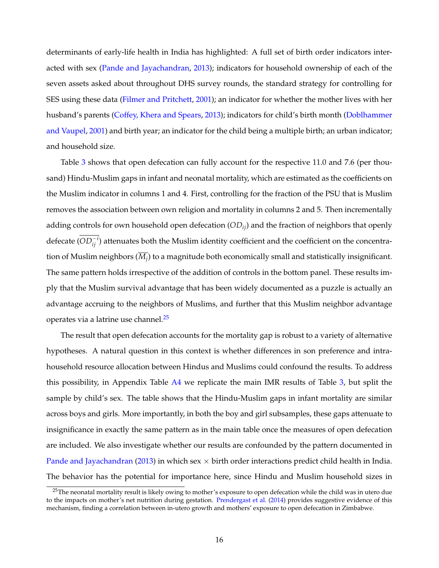determinants of early-life health in India has highlighted: A full set of birth order indicators interacted with sex [\(Pande and Jayachandran,](#page-29-12) [2013\)](#page-29-12); indicators for household ownership of each of the seven assets asked about throughout DHS survey rounds, the standard strategy for controlling for SES using these data [\(Filmer and Pritchett,](#page-28-13) [2001\)](#page-28-13); an indicator for whether the mother lives with her husband's parents [\(Coffey, Khera and Spears,](#page-28-14) [2013\)](#page-28-14); indicators for child's birth month [\(Doblhammer](#page-28-15) [and Vaupel,](#page-28-15) [2001\)](#page-28-15) and birth year; an indicator for the child being a multiple birth; an urban indicator; and household size.

Table [3](#page-37-0) shows that open defecation can fully account for the respective 11.0 and 7.6 (per thousand) Hindu-Muslim gaps in infant and neonatal mortality, which are estimated as the coefficients on the Muslim indicator in columns 1 and 4. First, controlling for the fraction of the PSU that is Muslim removes the association between own religion and mortality in columns 2 and 5. Then incrementally adding controls for own household open defecation (*ODij*) and the fraction of neighbors that openly defecate  $(OD_{ij}^{-i})$  attenuates both the Muslim identity coefficient and the coefficient on the concentration of Muslim neighbors  $(M_i)$  to a magnitude both economically small and statistically insignificant. The same pattern holds irrespective of the addition of controls in the bottom panel. These results imply that the Muslim survival advantage that has been widely documented as a puzzle is actually an advantage accruing to the neighbors of Muslims, and further that this Muslim neighbor advantage operates via a latrine use channel.<sup>25</sup>

The result that open defecation accounts for the mortality gap is robust to a variety of alternative hypotheses. A natural question in this context is whether differences in son preference and intrahousehold resource allocation between Hindus and Muslims could confound the results. To address this possibility, in Appendix Table [A4](#page-49-0) we replicate the main IMR results of Table [3,](#page-37-0) but split the sample by child's sex. The table shows that the Hindu-Muslim gaps in infant mortality are similar across boys and girls. More importantly, in both the boy and girl subsamples, these gaps attenuate to insignificance in exactly the same pattern as in the main table once the measures of open defecation are included. We also investigate whether our results are confounded by the pattern documented in [Pande and Jayachandran](#page-29-12) [\(2013\)](#page-29-12) in which sex  $\times$  birth order interactions predict child health in India. The behavior has the potential for importance here, since Hindu and Muslim household sizes in

<span id="page-17-0"></span><sup>&</sup>lt;sup>25</sup>The neonatal mortality result is likely owing to mother's exposure to open defecation while the child was in utero due to the impacts on mother's net nutrition during gestation. [Prendergast et al.](#page-29-10) [\(2014\)](#page-29-10) provides suggestive evidence of this mechanism, finding a correlation between in-utero growth and mothers' exposure to open defecation in Zimbabwe.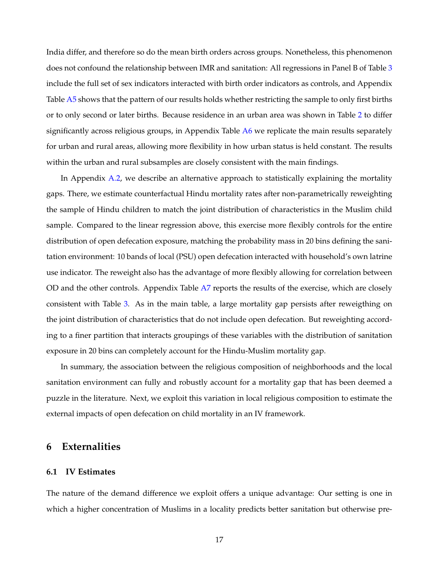India differ, and therefore so do the mean birth orders across groups. Nonetheless, this phenomenon does not confound the relationship between IMR and sanitation: All regressions in Panel B of Table [3](#page-37-0) include the full set of sex indicators interacted with birth order indicators as controls, and Appendix Table [A5](#page-50-0) shows that the pattern of our results holds whether restricting the sample to only first births or to only second or later births. Because residence in an urban area was shown in Table [2](#page-36-0) to differ significantly across religious groups, in Appendix Table [A6](#page-51-0) we replicate the main results separately for urban and rural areas, allowing more flexibility in how urban status is held constant. The results within the urban and rural subsamples are closely consistent with the main findings.

In Appendix [A.2,](#page-43-0) we describe an alternative approach to statistically explaining the mortality gaps. There, we estimate counterfactual Hindu mortality rates after non-parametrically reweighting the sample of Hindu children to match the joint distribution of characteristics in the Muslim child sample. Compared to the linear regression above, this exercise more flexibly controls for the entire distribution of open defecation exposure, matching the probability mass in 20 bins defining the sanitation environment: 10 bands of local (PSU) open defecation interacted with household's own latrine use indicator. The reweight also has the advantage of more flexibly allowing for correlation between OD and the other controls. Appendix Table [A7](#page-52-0) reports the results of the exercise, which are closely consistent with Table [3.](#page-37-0) As in the main table, a large mortality gap persists after reweigthing on the joint distribution of characteristics that do not include open defecation. But reweighting according to a finer partition that interacts groupings of these variables with the distribution of sanitation exposure in 20 bins can completely account for the Hindu-Muslim mortality gap.

In summary, the association between the religious composition of neighborhoods and the local sanitation environment can fully and robustly account for a mortality gap that has been deemed a puzzle in the literature. Next, we exploit this variation in local religious composition to estimate the external impacts of open defecation on child mortality in an IV framework.

# <span id="page-18-0"></span>**6 Externalities**

#### **6.1 IV Estimates**

The nature of the demand difference we exploit offers a unique advantage: Our setting is one in which a higher concentration of Muslims in a locality predicts better sanitation but otherwise pre-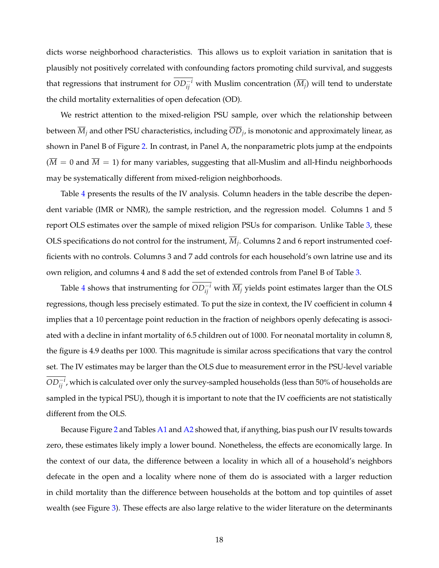dicts worse neighborhood characteristics. This allows us to exploit variation in sanitation that is plausibly not positively correlated with confounding factors promoting child survival, and suggests that regressions that instrument for  $OD_{ij}^{-i}$  with Muslim concentration  $(\overline{M_j})$  will tend to understate the child mortality externalities of open defecation (OD).

We restrict attention to the mixed-religion PSU sample, over which the relationship between between  $\overline{M}_i$  and other PSU characteristics, including  $\overline{OD}_i$ , is monotonic and approximately linear, as shown in Panel B of Figure [2.](#page-32-0) In contrast, in Panel A, the nonparametric plots jump at the endpoints  $(\overline{M} = 0$  and  $\overline{M} = 1)$  for many variables, suggesting that all-Muslim and all-Hindu neighborhoods may be systematically different from mixed-religion neighborhoods.

Table [4](#page-38-0) presents the results of the IV analysis. Column headers in the table describe the dependent variable (IMR or NMR), the sample restriction, and the regression model. Columns 1 and 5 report OLS estimates over the sample of mixed religion PSUs for comparison. Unlike Table [3,](#page-37-0) these OLS specifications do not control for the instrument,  $\overline{M}_i$ . Columns 2 and 6 report instrumented coefficients with no controls. Columns 3 and 7 add controls for each household's own latrine use and its own religion, and columns 4 and 8 add the set of extended controls from Panel B of Table [3.](#page-37-0)

Table [4](#page-38-0) shows that instrumenting for  $OD_{ij}^{-i}$  with  $\overline{M_j}$  yields point estimates larger than the OLS regressions, though less precisely estimated. To put the size in context, the IV coefficient in column 4 implies that a 10 percentage point reduction in the fraction of neighbors openly defecating is associated with a decline in infant mortality of 6.5 children out of 1000. For neonatal mortality in column 8, the figure is 4.9 deaths per 1000. This magnitude is similar across specifications that vary the control set. The IV estimates may be larger than the OLS due to measurement error in the PSU-level variable  $OD_{ij}^{-i}$  , which is calculated over only the survey-sampled households (less than 50% of households are sampled in the typical PSU), though it is important to note that the IV coefficients are not statistically different from the OLS.

Because Figure [2](#page-32-0) and Tables [A1](#page-46-0) and [A2](#page-47-0) showed that, if anything, bias push our IV results towards zero, these estimates likely imply a lower bound. Nonetheless, the effects are economically large. In the context of our data, the difference between a locality in which all of a household's neighbors defecate in the open and a locality where none of them do is associated with a larger reduction in child mortality than the difference between households at the bottom and top quintiles of asset wealth (see Figure [3\)](#page-33-0). These effects are also large relative to the wider literature on the determinants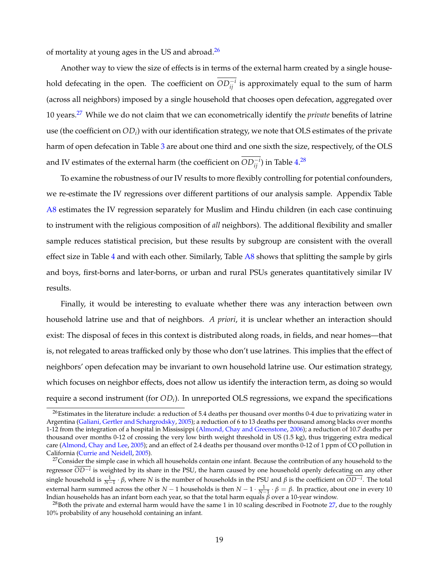of mortality at young ages in the US and abroad. $^{26}$ 

Another way to view the size of effects is in terms of the external harm created by a single household defecating in the open. The coefficient on  $OD_{ij}^{-i}$  is approximately equal to the sum of harm (across all neighbors) imposed by a single household that chooses open defecation, aggregated over 10 years[.27](#page-20-1) While we do not claim that we can econometrically identify the *private* benefits of latrine use (the coefficient on *ODi*) with our identification strategy, we note that OLS estimates of the private harm of open defecation in Table [3](#page-37-0) are about one third and one sixth the size, respectively, of the OLS and IV estimates of the external harm (the coefficient on  $OD_{ij}^{-i}$ ) in Table [4.](#page-38-0)<sup>[28](#page-20-2)</sup>

To examine the robustness of our IV results to more flexibly controlling for potential confounders, we re-estimate the IV regressions over different partitions of our analysis sample. Appendix Table [A8](#page-53-0) estimates the IV regression separately for Muslim and Hindu children (in each case continuing to instrument with the religious composition of *all* neighbors). The additional flexibility and smaller sample reduces statistical precision, but these results by subgroup are consistent with the overall effect size in Table  $4$  and with each other. Similarly, Table  $A8$  shows that splitting the sample by girls and boys, first-borns and later-borns, or urban and rural PSUs generates quantitatively similar IV results.

Finally, it would be interesting to evaluate whether there was any interaction between own household latrine use and that of neighbors. *A priori*, it is unclear whether an interaction should exist: The disposal of feces in this context is distributed along roads, in fields, and near homes—that is, not relegated to areas trafficked only by those who don't use latrines. This implies that the effect of neighbors' open defecation may be invariant to own household latrine use. Our estimation strategy, which focuses on neighbor effects, does not allow us identify the interaction term, as doing so would require a second instrument (for *ODi*). In unreported OLS regressions, we expand the specifications

<span id="page-20-0"></span> $^{26}$ Estimates in the literature include: a reduction of 5.4 deaths per thousand over months 0-4 due to privatizing water in Argentina [\(Galiani, Gertler and Schargrodsky,](#page-28-5) [2005\)](#page-28-5); a reduction of 6 to 13 deaths per thousand among blacks over months 1-12 from the integration of a hospital in Mississippi [\(Almond, Chay and Greenstone,](#page-27-5) [2006\)](#page-27-5); a reduction of 10.7 deaths per thousand over months 0-12 of crossing the very low birth weight threshold in US (1.5 kg), thus triggering extra medical care [\(Almond, Chay and Lee,](#page-27-4) [2005\)](#page-27-4); and an effect of 2.4 deaths per thousand over months 0-12 of 1 ppm of CO pollution in California [\(Currie and Neidell,](#page-28-6) [2005\)](#page-28-6).

<span id="page-20-1"></span> $27$ Consider the simple case in which all households contain one infant. Because the contribution of any household to the regressor *OD<sup>i</sup>* is weighted by its share in the PSU, the harm caused by one household openly defecating on any other single household is  $\frac{1}{N-1} \cdot \beta$ , where *N* is the number of households in the PSU and  $\beta$  is the coefficient on  $\overline{OD^{-i}}$ . The total external harm summed across the other  $N-1$  households is then  $N-1 \cdot \frac{1}{N-1} \cdot \beta = \beta$ . In practice, about one in every 10 Indian households has an infant born each year, so that the total harm equals  $\beta$  over a 10-year

<span id="page-20-2"></span><sup>&</sup>lt;sup>28</sup>Both the private and external harm would have the same 1 in 10 scaling described in Footnote [27,](#page-20-1) due to the roughly 10% probability of any household containing an infant.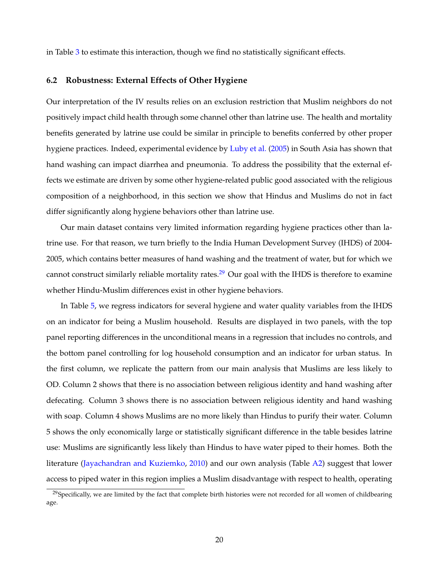in Table [3](#page-37-0) to estimate this interaction, though we find no statistically significant effects.

#### **6.2 Robustness: External Effects of Other Hygiene**

Our interpretation of the IV results relies on an exclusion restriction that Muslim neighbors do not positively impact child health through some channel other than latrine use. The health and mortality benefits generated by latrine use could be similar in principle to benefits conferred by other proper hygiene practices. Indeed, experimental evidence by [Luby et al.](#page-29-13) [\(2005\)](#page-29-13) in South Asia has shown that hand washing can impact diarrhea and pneumonia. To address the possibility that the external effects we estimate are driven by some other hygiene-related public good associated with the religious composition of a neighborhood, in this section we show that Hindus and Muslims do not in fact differ significantly along hygiene behaviors other than latrine use.

Our main dataset contains very limited information regarding hygiene practices other than latrine use. For that reason, we turn briefly to the India Human Development Survey (IHDS) of 2004- 2005, which contains better measures of hand washing and the treatment of water, but for which we cannot construct similarly reliable mortality rates.<sup>29</sup> Our goal with the IHDS is therefore to examine whether Hindu-Muslim differences exist in other hygiene behaviors.

In Table [5,](#page-39-0) we regress indicators for several hygiene and water quality variables from the IHDS on an indicator for being a Muslim household. Results are displayed in two panels, with the top panel reporting differences in the unconditional means in a regression that includes no controls, and the bottom panel controlling for log household consumption and an indicator for urban status. In the first column, we replicate the pattern from our main analysis that Muslims are less likely to OD. Column 2 shows that there is no association between religious identity and hand washing after defecating. Column 3 shows there is no association between religious identity and hand washing with soap. Column 4 shows Muslims are no more likely than Hindus to purify their water. Column 5 shows the only economically large or statistically significant difference in the table besides latrine use: Muslims are significantly less likely than Hindus to have water piped to their homes. Both the literature [\(Jayachandran and Kuziemko,](#page-29-14) [2010\)](#page-29-14) and our own analysis (Table [A2\)](#page-47-0) suggest that lower access to piped water in this region implies a Muslim disadvantage with respect to health, operating

<span id="page-21-0"></span><sup>&</sup>lt;sup>29</sup>Specifically, we are limited by the fact that complete birth histories were not recorded for all women of childbearing age.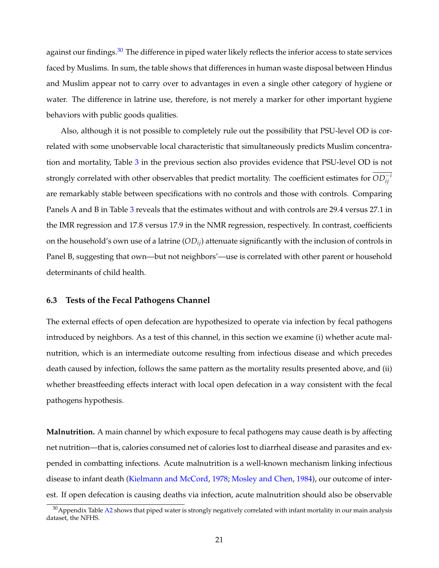against our findings.<sup>30</sup> The difference in piped water likely reflects the inferior access to state services faced by Muslims. In sum, the table shows that differences in human waste disposal between Hindus and Muslim appear not to carry over to advantages in even a single other category of hygiene or water. The difference in latrine use, therefore, is not merely a marker for other important hygiene behaviors with public goods qualities.

Also, although it is not possible to completely rule out the possibility that PSU-level OD is correlated with some unobservable local characteristic that simultaneously predicts Muslim concentration and mortality, Table [3](#page-37-0) in the previous section also provides evidence that PSU-level OD is not strongly correlated with other observables that predict mortality. The coefficient estimates for  $OD_{ij}^{-i}$ are remarkably stable between specifications with no controls and those with controls. Comparing Panels A and B in Table [3](#page-37-0) reveals that the estimates without and with controls are 29.4 versus 27.1 in the IMR regression and 17.8 versus 17.9 in the NMR regression, respectively. In contrast, coefficients on the household's own use of a latrine (*ODij*) attenuate significantly with the inclusion of controls in Panel B, suggesting that own—but not neighbors'—use is correlated with other parent or household determinants of child health.

### **6.3 Tests of the Fecal Pathogens Channel**

The external effects of open defecation are hypothesized to operate via infection by fecal pathogens introduced by neighbors. As a test of this channel, in this section we examine (i) whether acute malnutrition, which is an intermediate outcome resulting from infectious disease and which precedes death caused by infection, follows the same pattern as the mortality results presented above, and (ii) whether breastfeeding effects interact with local open defecation in a way consistent with the fecal pathogens hypothesis.

**Malnutrition.** A main channel by which exposure to fecal pathogens may cause death is by affecting net nutrition—that is, calories consumed net of calories lost to diarrheal disease and parasites and expended in combatting infections. Acute malnutrition is a well-known mechanism linking infectious disease to infant death [\(Kielmann and McCord,](#page-29-4) [1978;](#page-29-4) [Mosley and Chen,](#page-29-5) [1984\)](#page-29-5), our outcome of interest. If open defecation is causing deaths via infection, acute malnutrition should also be observable

<span id="page-22-0"></span> $30$ Appendix Table [A2](#page-47-0) shows that piped water is strongly negatively correlated with infant mortality in our main analysis dataset, the NFHS.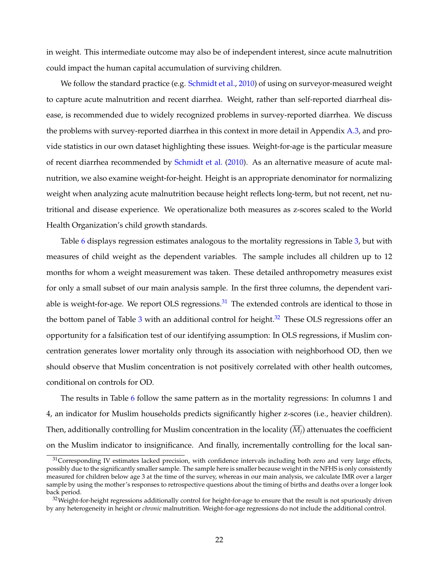in weight. This intermediate outcome may also be of independent interest, since acute malnutrition could impact the human capital accumulation of surviving children.

We follow the standard practice (e.g. [Schmidt et al.,](#page-30-4) [2010\)](#page-30-4) of using on surveyor-measured weight to capture acute malnutrition and recent diarrhea. Weight, rather than self-reported diarrheal disease, is recommended due to widely recognized problems in survey-reported diarrhea. We discuss the problems with survey-reported diarrhea in this context in more detail in Appendix [A.3,](#page-44-0) and provide statistics in our own dataset highlighting these issues. Weight-for-age is the particular measure of recent diarrhea recommended by [Schmidt et al.](#page-30-4) [\(2010\)](#page-30-4). As an alternative measure of acute malnutrition, we also examine weight-for-height. Height is an appropriate denominator for normalizing weight when analyzing acute malnutrition because height reflects long-term, but not recent, net nutritional and disease experience. We operationalize both measures as z-scores scaled to the World Health Organization's child growth standards.

Table [6](#page-40-0) displays regression estimates analogous to the mortality regressions in Table [3,](#page-37-0) but with measures of child weight as the dependent variables. The sample includes all children up to 12 months for whom a weight measurement was taken. These detailed anthropometry measures exist for only a small subset of our main analysis sample. In the first three columns, the dependent variable is weight-for-age. We report OLS regressions. $31$  The extended controls are identical to those in the bottom panel of Table  $3$  with an additional control for height.<sup>[32](#page-23-1)</sup> These OLS regressions offer an opportunity for a falsification test of our identifying assumption: In OLS regressions, if Muslim concentration generates lower mortality only through its association with neighborhood OD, then we should observe that Muslim concentration is not positively correlated with other health outcomes, conditional on controls for OD.

The results in Table [6](#page-40-0) follow the same pattern as in the mortality regressions: In columns 1 and 4, an indicator for Muslim households predicts significantly higher z-scores (i.e., heavier children). Then, additionally controlling for Muslim concentration in the locality  $(\overline{M_i})$  attenuates the coefficient on the Muslim indicator to insignificance. And finally, incrementally controlling for the local san-

<span id="page-23-0"></span> $31$ Corresponding IV estimates lacked precision, with confidence intervals including both zero and very large effects, possibly due to the significantly smaller sample. The sample here is smaller because weight in the NFHS is only consistently measured for children below age 3 at the time of the survey, whereas in our main analysis, we calculate IMR over a larger sample by using the mother's responses to retrospective questions about the timing of births and deaths over a longer look back period.

<span id="page-23-1"></span> $32$ Weight-for-height regressions additionally control for height-for-age to ensure that the result is not spuriously driven by any heterogeneity in height or *chronic* malnutrition. Weight-for-age regressions do not include the additional control.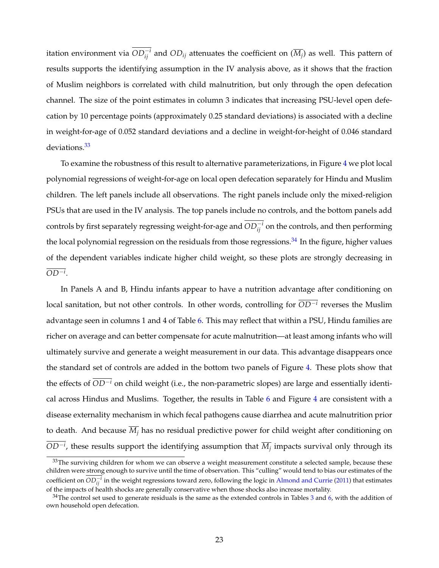itation environment via  $OD_{ij}^{-i}$  and  $OD_{ij}$  attenuates the coefficient on  $(\overline{M_j})$  as well. This pattern of results supports the identifying assumption in the IV analysis above, as it shows that the fraction of Muslim neighbors is correlated with child malnutrition, but only through the open defecation channel. The size of the point estimates in column 3 indicates that increasing PSU-level open defecation by 10 percentage points (approximately 0.25 standard deviations) is associated with a decline in weight-for-age of 0.052 standard deviations and a decline in weight-for-height of 0.046 standard deviations.<sup>33</sup>

To examine the robustness of this result to alternative parameterizations, in Figure [4](#page-34-0) we plot local polynomial regressions of weight-for-age on local open defecation separately for Hindu and Muslim children. The left panels include all observations. The right panels include only the mixed-religion PSUs that are used in the IV analysis. The top panels include no controls, and the bottom panels add controls by first separately regressing weight-for-age and  $OD_{ij}^{-i}$  on the controls, and then performing the local polynomial regression on the residuals from those regressions. $34$  In the figure, higher values of the dependent variables indicate higher child weight, so these plots are strongly decreasing in  $OD^{-i}$ .

In Panels A and B, Hindu infants appear to have a nutrition advantage after conditioning on local sanitation, but not other controls. In other words, controlling for  $\overline{OD^{-i}}$  reverses the Muslim advantage seen in columns 1 and 4 of Table [6.](#page-40-0) This may reflect that within a PSU, Hindu families are richer on average and can better compensate for acute malnutrition—at least among infants who will ultimately survive and generate a weight measurement in our data. This advantage disappears once the standard set of controls are added in the bottom two panels of Figure [4.](#page-34-0) These plots show that the effects of  $\overline{OD^{-i}}$  on child weight (i.e., the non-parametric slopes) are large and essentially identical across Hindus and Muslims. Together, the results in Table [6](#page-40-0) and Figure [4](#page-34-0) are consistent with a disease externality mechanism in which fecal pathogens cause diarrhea and acute malnutrition prior to death. And because  $\overline{M}_i$  has no residual predictive power for child weight after conditioning on  $OD^{-i}$ , these results support the identifying assumption that  $\overline{M_j}$  impacts survival only through its

<span id="page-24-0"></span> $33$ The surviving children for whom we can observe a weight measurement constitute a selected sample, because these children were strong enough to survive until the time of observation. This "culling" would tend to bias our estimates of the coefficient on  $OD_{ij}^{-i}$  in the weight regressions toward zero, following the logic in [Almond and Currie](#page-27-14) [\(2011\)](#page-27-14) that estimates of the impacts of health shocks are generally conservative when those shocks also increase mortality.

<span id="page-24-1"></span> $34$  $34$ The control set used to generate residuals is the same as the extended controls in Tables 3 and [6,](#page-40-0) with the addition of own household open defecation.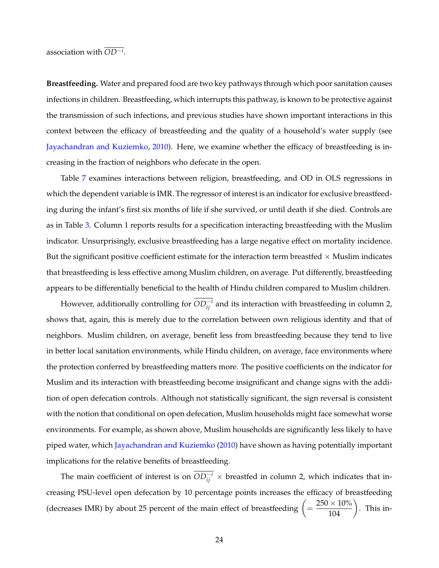association with *OD<sup>i</sup>* .

**Breastfeeding.** Water and prepared food are two key pathways through which poor sanitation causes infections in children. Breastfeeding, which interrupts this pathway, is known to be protective against the transmission of such infections, and previous studies have shown important interactions in this context between the efficacy of breastfeeding and the quality of a household's water supply (see [Jayachandran and Kuziemko,](#page-29-14) [2010\)](#page-29-14). Here, we examine whether the efficacy of breastfeeding is increasing in the fraction of neighbors who defecate in the open.

Table [7](#page-41-0) examines interactions between religion, breastfeeding, and OD in OLS regressions in which the dependent variable is IMR. The regressor of interest is an indicator for exclusive breastfeeding during the infant's first six months of life if she survived, or until death if she died. Controls are as in Table [3.](#page-37-0) Column 1 reports results for a specification interacting breastfeeding with the Muslim indicator. Unsurprisingly, exclusive breastfeeding has a large negative effect on mortality incidence. But the significant positive coefficient estimate for the interaction term breastfed  $\times$  Muslim indicates that breastfeeding is less effective among Muslim children, on average. Put differently, breastfeeding appears to be differentially beneficial to the health of Hindu children compared to Muslim children.

However, additionally controlling for  $OD_{ij}^{-i}$  and its interaction with breastfeeding in column 2, shows that, again, this is merely due to the correlation between own religious identity and that of neighbors. Muslim children, on average, benefit less from breastfeeding because they tend to live in better local sanitation environments, while Hindu children, on average, face environments where the protection conferred by breastfeeding matters more. The positive coefficients on the indicator for Muslim and its interaction with breastfeeding become insignificant and change signs with the addition of open defecation controls. Although not statistically significant, the sign reversal is consistent with the notion that conditional on open defecation, Muslim households might face somewhat worse environments. For example, as shown above, Muslim households are significantly less likely to have piped water, which [Jayachandran and Kuziemko](#page-29-14) [\(2010\)](#page-29-14) have shown as having potentially important implications for the relative benefits of breastfeeding.

The main coefficient of interest is on  $OD_{ij}^{-i}$   $\times$  breastfed in column 2, which indicates that increasing PSU-level open defecation by 10 percentage points increases the efficacy of breastfeeding (decreases IMR) by about 25 percent of the main effect of breastfeeding  $\left(=\frac{250\times10\%}{104}\right)$ . This in-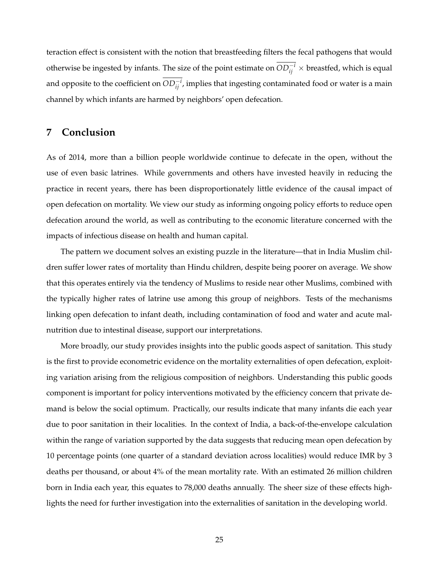teraction effect is consistent with the notion that breastfeeding filters the fecal pathogens that would otherwise be ingested by infants. The size of the point estimate on  $OD_{ij}^{-i} \times$  breastfed, which is equal and opposite to the coefficient on  $OD_{ij}^{-i}$ , implies that ingesting contaminated food or water is a main channel by which infants are harmed by neighbors' open defecation.

# <span id="page-26-0"></span>**7 Conclusion**

As of 2014, more than a billion people worldwide continue to defecate in the open, without the use of even basic latrines. While governments and others have invested heavily in reducing the practice in recent years, there has been disproportionately little evidence of the causal impact of open defecation on mortality. We view our study as informing ongoing policy efforts to reduce open defecation around the world, as well as contributing to the economic literature concerned with the impacts of infectious disease on health and human capital.

The pattern we document solves an existing puzzle in the literature—that in India Muslim children suffer lower rates of mortality than Hindu children, despite being poorer on average. We show that this operates entirely via the tendency of Muslims to reside near other Muslims, combined with the typically higher rates of latrine use among this group of neighbors. Tests of the mechanisms linking open defecation to infant death, including contamination of food and water and acute malnutrition due to intestinal disease, support our interpretations.

More broadly, our study provides insights into the public goods aspect of sanitation. This study is the first to provide econometric evidence on the mortality externalities of open defecation, exploiting variation arising from the religious composition of neighbors. Understanding this public goods component is important for policy interventions motivated by the efficiency concern that private demand is below the social optimum. Practically, our results indicate that many infants die each year due to poor sanitation in their localities. In the context of India, a back-of-the-envelope calculation within the range of variation supported by the data suggests that reducing mean open defecation by 10 percentage points (one quarter of a standard deviation across localities) would reduce IMR by 3 deaths per thousand, or about 4% of the mean mortality rate. With an estimated 26 million children born in India each year, this equates to 78,000 deaths annually. The sheer size of these effects highlights the need for further investigation into the externalities of sanitation in the developing world.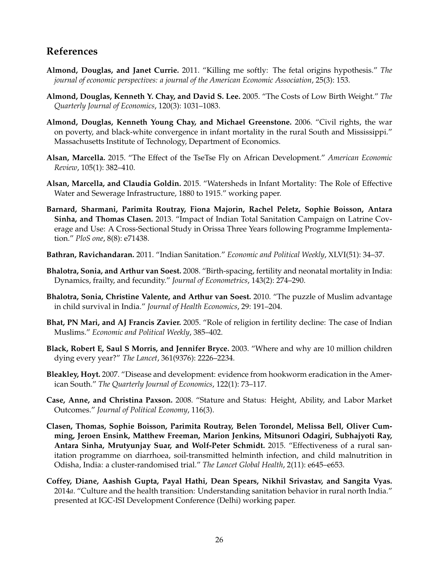# **References**

- <span id="page-27-14"></span>**Almond, Douglas, and Janet Currie.** 2011. "Killing me softly: The fetal origins hypothesis." *The journal of economic perspectives: a journal of the American Economic Association*, 25(3): 153.
- <span id="page-27-4"></span>**Almond, Douglas, Kenneth Y. Chay, and David S. Lee.** 2005. "The Costs of Low Birth Weight." *The Quarterly Journal of Economics*, 120(3): 1031–1083.
- <span id="page-27-5"></span>**Almond, Douglas, Kenneth Young Chay, and Michael Greenstone.** 2006. "Civil rights, the war on poverty, and black-white convergence in infant mortality in the rural South and Mississippi." Massachusetts Institute of Technology, Department of Economics.
- <span id="page-27-9"></span>**Alsan, Marcella.** 2015. "The Effect of the TseTse Fly on African Development." *American Economic Review*, 105(1): 382–410.
- <span id="page-27-8"></span>**Alsan, Marcella, and Claudia Goldin.** 2015. "Watersheds in Infant Mortality: The Role of Effective Water and Sewerage Infrastructure, 1880 to 1915." working paper.
- <span id="page-27-10"></span>**Barnard, Sharmani, Parimita Routray, Fiona Majorin, Rachel Peletz, Sophie Boisson, Antara Sinha, and Thomas Clasen.** 2013. "Impact of Indian Total Sanitation Campaign on Latrine Coverage and Use: A Cross-Sectional Study in Orissa Three Years following Programme Implementation." *PloS one*, 8(8): e71438.
- <span id="page-27-11"></span>**Bathran, Ravichandaran.** 2011. "Indian Sanitation." *Economic and Political Weekly*, XLVI(51): 34–37.
- <span id="page-27-2"></span>**Bhalotra, Sonia, and Arthur van Soest.** 2008. "Birth-spacing, fertility and neonatal mortality in India: Dynamics, frailty, and fecundity." *Journal of Econometrics*, 143(2): 274–290.
- <span id="page-27-3"></span>**Bhalotra, Sonia, Christine Valente, and Arthur van Soest.** 2010. "The puzzle of Muslim advantage in child survival in India." *Journal of Health Economics*, 29: 191–204.
- <span id="page-27-1"></span>**Bhat, PN Mari, and AJ Francis Zavier.** 2005. "Role of religion in fertility decline: The case of Indian Muslims." *Economic and Political Weekly*, 385–402.
- <span id="page-27-12"></span>**Black, Robert E, Saul S Morris, and Jennifer Bryce.** 2003. "Where and why are 10 million children dying every year?" *The Lancet*, 361(9376): 2226–2234.
- <span id="page-27-7"></span>**Bleakley, Hoyt.** 2007. "Disease and development: evidence from hookworm eradication in the American South." *The Quarterly Journal of Economics*, 122(1): 73–117.
- <span id="page-27-13"></span>**Case, Anne, and Christina Paxson.** 2008. "Stature and Status: Height, Ability, and Labor Market Outcomes." *Journal of Political Economy*, 116(3).
- <span id="page-27-0"></span>**Clasen, Thomas, Sophie Boisson, Parimita Routray, Belen Torondel, Melissa Bell, Oliver Cumming, Jeroen Ensink, Matthew Freeman, Marion Jenkins, Mitsunori Odagiri, Subhajyoti Ray, Antara Sinha, Mrutyunjay Suar, and Wolf-Peter Schmidt.** 2015. "Effectiveness of a rural sanitation programme on diarrhoea, soil-transmitted helminth infection, and child malnutrition in Odisha, India: a cluster-randomised trial." *The Lancet Global Health*, 2(11): e645–e653.
- <span id="page-27-6"></span>**Coffey, Diane, Aashish Gupta, Payal Hathi, Dean Spears, Nikhil Srivastav, and Sangita Vyas.** 2014*a*. "Culture and the health transition: Understanding sanitation behavior in rural north India." presented at IGC-ISI Development Conference (Delhi) working paper.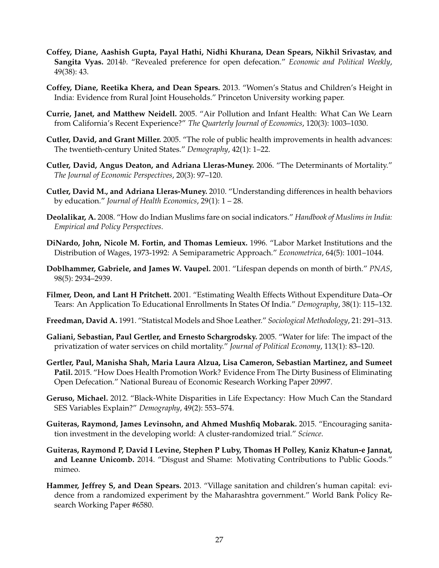- <span id="page-28-10"></span>**Coffey, Diane, Aashish Gupta, Payal Hathi, Nidhi Khurana, Dean Spears, Nikhil Srivastav, and Sangita Vyas.** 2014*b*. "Revealed preference for open defecation." *Economic and Political Weekly*, 49(38): 43.
- <span id="page-28-14"></span>**Coffey, Diane, Reetika Khera, and Dean Spears.** 2013. "Women's Status and Children's Height in India: Evidence from Rural Joint Households." Princeton University working paper.
- <span id="page-28-6"></span>**Currie, Janet, and Matthew Neidell.** 2005. "Air Pollution and Infant Health: What Can We Learn from California's Recent Experience?" *The Quarterly Journal of Economics*, 120(3): 1003–1030.
- <span id="page-28-0"></span>**Cutler, David, and Grant Miller.** 2005. "The role of public health improvements in health advances: The twentieth-century United States." *Demography*, 42(1): 1–22.
- <span id="page-28-11"></span>**Cutler, David, Angus Deaton, and Adriana Lleras-Muney.** 2006. "The Determinants of Mortality." *The Journal of Economic Perspectives*, 20(3): 97–120.
- <span id="page-28-7"></span>**Cutler, David M., and Adriana Lleras-Muney.** 2010. "Understanding differences in health behaviors by education." *Journal of Health Economics*, 29(1): 1 – 28.
- <span id="page-28-4"></span>**Deolalikar, A.** 2008. "How do Indian Muslims fare on social indicators." *Handbook of Muslims in India: Empirical and Policy Perspectives*.
- <span id="page-28-16"></span>**DiNardo, John, Nicole M. Fortin, and Thomas Lemieux.** 1996. "Labor Market Institutions and the Distribution of Wages, 1973-1992: A Semiparametric Approach." *Econometrica*, 64(5): 1001–1044.
- <span id="page-28-15"></span>**Doblhammer, Gabriele, and James W. Vaupel.** 2001. "Lifespan depends on month of birth." *PNAS*, 98(5): 2934–2939.
- <span id="page-28-13"></span>**Filmer, Deon, and Lant H Pritchett.** 2001. "Estimating Wealth Effects Without Expenditure Data–Or Tears: An Application To Educational Enrollments In States Of India." *Demography*, 38(1): 115–132.
- <span id="page-28-12"></span>**Freedman, David A.** 1991. "Statistcal Models and Shoe Leather." *Sociological Methodology*, 21: 291–313.
- <span id="page-28-5"></span>**Galiani, Sebastian, Paul Gertler, and Ernesto Schargrodsky.** 2005. "Water for life: The impact of the privatization of water services on child mortality." *Journal of Political Economy*, 113(1): 83–120.
- <span id="page-28-2"></span>**Gertler, Paul, Manisha Shah, Maria Laura Alzua, Lisa Cameron, Sebastian Martinez, and Sumeet Patil.** 2015. "How Does Health Promotion Work? Evidence From The Dirty Business of Eliminating Open Defecation." National Bureau of Economic Research Working Paper 20997.
- <span id="page-28-8"></span>**Geruso, Michael.** 2012. "Black-White Disparities in Life Expectancy: How Much Can the Standard SES Variables Explain?" *Demography*, 49(2): 553–574.
- <span id="page-28-3"></span>**Guiteras, Raymond, James Levinsohn, and Ahmed Mushfiq Mobarak.** 2015. "Encouraging sanitation investment in the developing world: A cluster-randomized trial." *Science*.
- <span id="page-28-9"></span>**Guiteras, Raymond P, David I Levine, Stephen P Luby, Thomas H Polley, Kaniz Khatun-e Jannat, and Leanne Unicomb.** 2014. "Disgust and Shame: Motivating Contributions to Public Goods." mimeo.
- <span id="page-28-1"></span>**Hammer, Jeffrey S, and Dean Spears.** 2013. "Village sanitation and children's human capital: evidence from a randomized experiment by the Maharashtra government." World Bank Policy Research Working Paper #6580.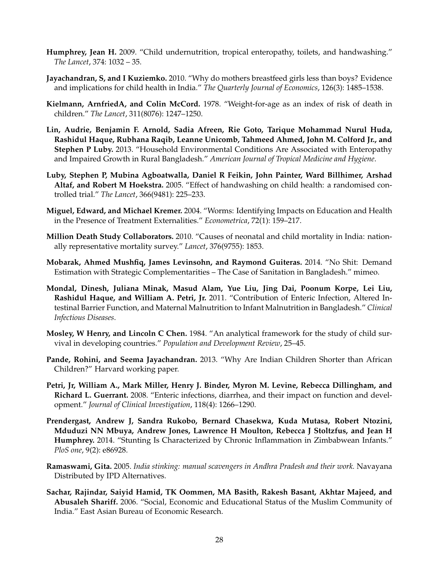- <span id="page-29-6"></span>**Humphrey, Jean H.** 2009. "Child undernutrition, tropical enteropathy, toilets, and handwashing." *The Lancet*, 374: 1032 – 35.
- <span id="page-29-14"></span>**Jayachandran, S, and I Kuziemko.** 2010. "Why do mothers breastfeed girls less than boys? Evidence and implications for child health in India." *The Quarterly Journal of Economics*, 126(3): 1485–1538.
- <span id="page-29-4"></span>**Kielmann, ArnfriedA, and Colin McCord.** 1978. "Weight-for-age as an index of risk of death in children." *The Lancet*, 311(8076): 1247–1250.
- <span id="page-29-9"></span>**Lin, Audrie, Benjamin F. Arnold, Sadia Afreen, Rie Goto, Tarique Mohammad Nurul Huda, Rashidul Haque, Rubhana Raqib, Leanne Unicomb, Tahmeed Ahmed, John M. Colford Jr., and Stephen P Luby.** 2013. "Household Environmental Conditions Are Associated with Enteropathy and Impaired Growth in Rural Bangladesh." *American Journal of Tropical Medicine and Hygiene*.
- <span id="page-29-13"></span>**Luby, Stephen P, Mubina Agboatwalla, Daniel R Feikin, John Painter, Ward Billhimer, Arshad Altaf, and Robert M Hoekstra.** 2005. "Effect of handwashing on child health: a randomised controlled trial." *The Lancet*, 366(9481): 225–233.
- <span id="page-29-11"></span>**Miguel, Edward, and Michael Kremer.** 2004. "Worms: Identifying Impacts on Education and Health in the Presence of Treatment Externalities." *Econometrica*, 72(1): 159–217.
- <span id="page-29-1"></span>**Million Death Study Collaborators.** 2010. "Causes of neonatal and child mortality in India: nationally representative mortality survey." *Lancet*, 376(9755): 1853.
- <span id="page-29-3"></span>**Mobarak, Ahmed Mushfiq, James Levinsohn, and Raymond Guiteras.** 2014. "No Shit: Demand Estimation with Strategic Complementarities – The Case of Sanitation in Bangladesh." mimeo.
- <span id="page-29-8"></span>**Mondal, Dinesh, Juliana Minak, Masud Alam, Yue Liu, Jing Dai, Poonum Korpe, Lei Liu, Rashidul Haque, and William A. Petri, Jr.** 2011. "Contribution of Enteric Infection, Altered Intestinal Barrier Function, and Maternal Malnutrition to Infant Malnutrition in Bangladesh." *Clinical Infectious Diseases*.
- <span id="page-29-5"></span>**Mosley, W Henry, and Lincoln C Chen.** 1984. "An analytical framework for the study of child survival in developing countries." *Population and Development Review*, 25–45.
- <span id="page-29-12"></span>**Pande, Rohini, and Seema Jayachandran.** 2013. "Why Are Indian Children Shorter than African Children?" Harvard working paper.
- <span id="page-29-7"></span>**Petri, Jr, William A., Mark Miller, Henry J. Binder, Myron M. Levine, Rebecca Dillingham, and Richard L. Guerrant.** 2008. "Enteric infections, diarrhea, and their impact on function and development." *Journal of Clinical Investigation*, 118(4): 1266–1290.
- <span id="page-29-10"></span>**Prendergast, Andrew J, Sandra Rukobo, Bernard Chasekwa, Kuda Mutasa, Robert Ntozini, Mduduzi NN Mbuya, Andrew Jones, Lawrence H Moulton, Rebecca J Stoltzfus, and Jean H Humphrey.** 2014. "Stunting Is Characterized by Chronic Inflammation in Zimbabwean Infants." *PloS one*, 9(2): e86928.
- <span id="page-29-2"></span>**Ramaswami, Gita.** 2005. *India stinking: manual scavengers in Andhra Pradesh and their work.* Navayana Distributed by IPD Alternatives.
- <span id="page-29-0"></span>**Sachar, Rajindar, Saiyid Hamid, TK Oommen, MA Basith, Rakesh Basant, Akhtar Majeed, and Abusaleh Shariff.** 2006. "Social, Economic and Educational Status of the Muslim Community of India." East Asian Bureau of Economic Research.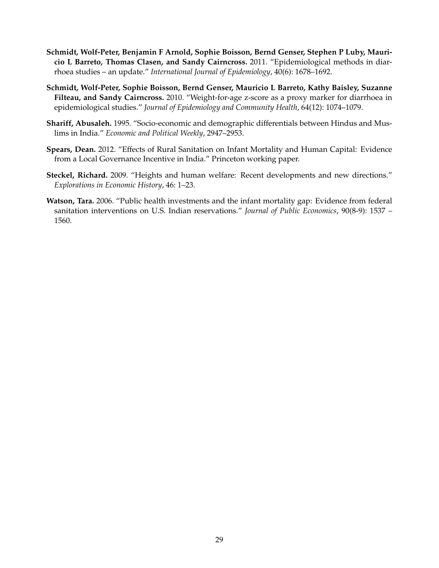- <span id="page-30-5"></span>**Schmidt, Wolf-Peter, Benjamin F Arnold, Sophie Boisson, Bernd Genser, Stephen P Luby, Mauricio L Barreto, Thomas Clasen, and Sandy Cairncross.** 2011. "Epidemiological methods in diarrhoea studies – an update." *International Journal of Epidemiology*, 40(6): 1678–1692.
- <span id="page-30-4"></span>**Schmidt, Wolf-Peter, Sophie Boisson, Bernd Genser, Mauricio L Barreto, Kathy Baisley, Suzanne Filteau, and Sandy Cairncross.** 2010. "Weight-for-age z-score as a proxy marker for diarrhoea in epidemiological studies." *Journal of Epidemiology and Community Health*, 64(12): 1074–1079.
- <span id="page-30-0"></span>**Shariff, Abusaleh.** 1995. "Socio-economic and demographic differentials between Hindus and Muslims in India." *Economic and Political Weekly*, 2947–2953.
- <span id="page-30-2"></span>**Spears, Dean.** 2012. "Effects of Rural Sanitation on Infant Mortality and Human Capital: Evidence from a Local Governance Incentive in India." Princeton working paper.
- <span id="page-30-3"></span>**Steckel, Richard.** 2009. "Heights and human welfare: Recent developments and new directions." *Explorations in Economic History*, 46: 1–23.
- <span id="page-30-1"></span>**Watson, Tara.** 2006. "Public health investments and the infant mortality gap: Evidence from federal sanitation interventions on U.S. Indian reservations." *Journal of Public Economics*, 90(8-9): 1537 – 1560.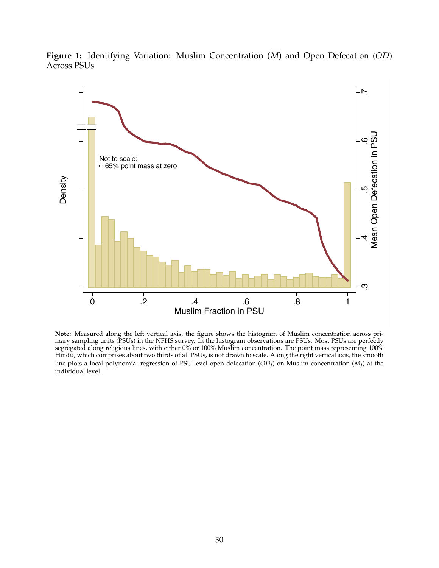<span id="page-31-0"></span>**Figure 1:** Identifying Variation: Muslim Concentration  $(\overline{M})$  and Open Defecation  $(\overline{OD})$ Across PSUs



**Note:** Measured along the left vertical axis, the figure shows the histogram of Muslim concentration across primary sampling units (PSUs) in the NFHS survey. In the histogram observations are PSUs. Most PSUs are perfectly segregated along religious lines, with either 0% or 100% Muslim concentration. The point mass representing 100% Hindu, which comprises about two thirds of all PSUs, is not drawn to scale. Along the right vertical axis, the smooth line plots a local polynomial regression of PSU-level open defecation  $(\overline{OD_i})$  on Muslim concentration  $(\overline{M_i})$  at the individual level.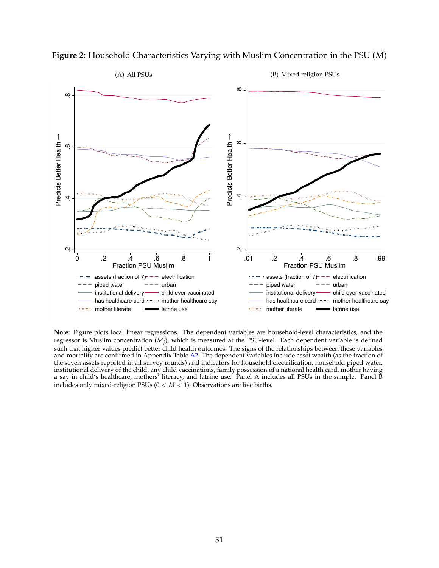

<span id="page-32-0"></span>**Figure 2:** Household Characteristics Varying with Muslim Concentration in the PSU  $(\overline{M})$ 

**Note:** Figure plots local linear regressions. The dependent variables are household-level characteristics, and the regressor is Muslim concentration  $(\overline{M_j})$ , which is measured at the PSU-level. Each dependent variable is defined such that higher values predict better child health outcomes. The signs of the relationships between these variables and mortality are confirmed in Appendix Table [A2.](#page-47-0) The dependent variables include asset wealth (as the fraction of the seven assets reported in all survey rounds) and indicators for household electrification, household piped water, institutional delivery of the child, any child vaccinations, family possession of a national health card, mother having a say in child's healthcare, mothers' literacy, and latrine use. Panel A includes all PSUs in the sample. Panel B includes only mixed-religion PSUs ( $0 < \overline{M} < 1$ ). Observations are live births.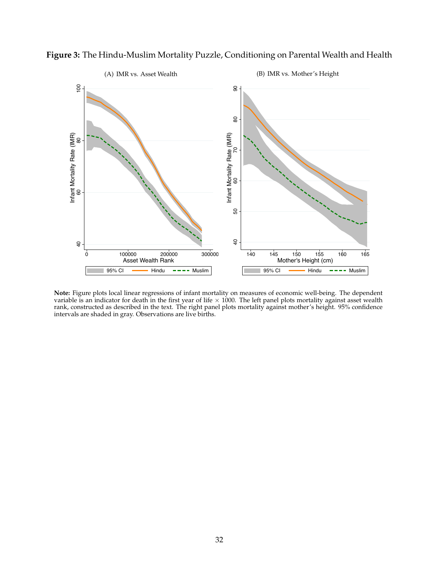

<span id="page-33-0"></span>**Figure 3:** The Hindu-Muslim Mortality Puzzle, Conditioning on Parental Wealth and Health

**Note:** Figure plots local linear regressions of infant mortality on measures of economic well-being. The dependent variable is an indicator for death in the first year of life × 1000. The left panel plots mortality against asset wealth<br>rank, constructed as described in the text. The right panel plots mortality against mother's height. intervals are shaded in gray. Observations are live births.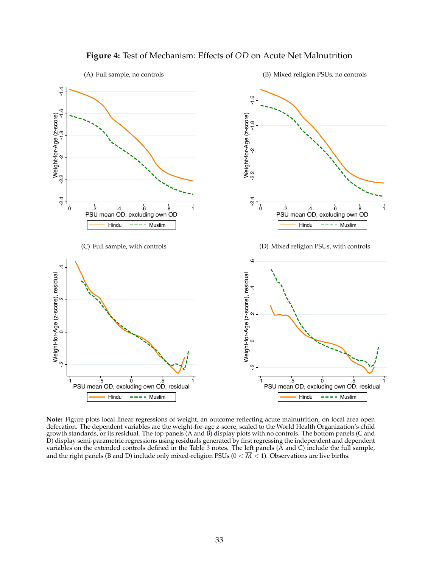<span id="page-34-0"></span>

# **Figure 4:** Test of Mechanism: Effects of *OD* on Acute Net Malnutrition

**Note:** Figure plots local linear regressions of weight, an outcome reflecting acute malnutrition, on local area open defecation. The dependent variables are the weight-for-age z-score, scaled to the World Health Organization's child growth standards, or its residual. The top panels (A and B) display plots with no controls. The bottom panels (C and D) display semi-parametric regressions using residuals generated by first regressing the independent and dependent variables on the extended controls defined in the Table  $3$  notes. The left panels ( $\AA$  and  $\text{C}$ ) include the full sample, and the right panels (B and D) include only mixed-religion PSUs ( $0 < \overline{M} < 1$ ). Observations are live births.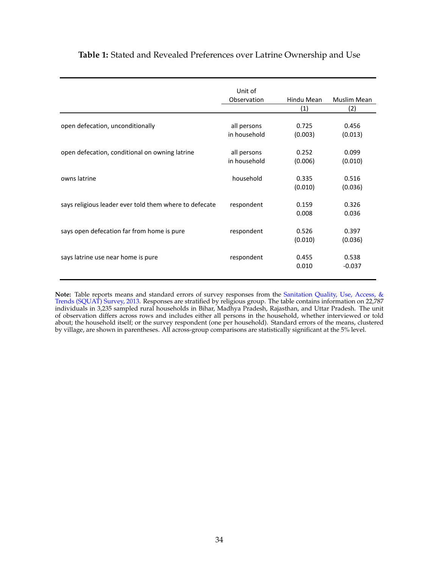## <span id="page-35-0"></span>**Table 1:** Stated and Revealed Preferences over Latrine Ownership and Use

|                                                        | Unit of<br>Observation | Hindu Mean | Muslim Mean |
|--------------------------------------------------------|------------------------|------------|-------------|
|                                                        |                        | (1)        | (2)         |
|                                                        |                        |            |             |
| open defecation, unconditionally                       | all persons            | 0.725      | 0.456       |
|                                                        | in household           | (0.003)    | (0.013)     |
| open defecation, conditional on owning latrine         | all persons            | 0.252      | 0.099       |
|                                                        | in household           | (0.006)    | (0.010)     |
| owns latrine                                           | household              | 0.335      | 0.516       |
|                                                        |                        | (0.010)    | (0.036)     |
| says religious leader ever told them where to defecate | respondent             | 0.159      | 0.326       |
|                                                        |                        | 0.008      | 0.036       |
| says open defecation far from home is pure             | respondent             | 0.526      | 0.397       |
|                                                        |                        | (0.010)    | (0.036)     |
| says latrine use near home is pure                     | respondent             | 0.455      | 0.538       |
|                                                        |                        | 0.010      | $-0.037$    |
|                                                        |                        |            |             |

**Note:** Table reports means and standard errors of survey responses from the [Sanitation Quality, Use, Access, &](http://squatreport.in) [Trends \(SQUAT\) Survey, 2013.](http://squatreport.in) Responses are stratified by religious group. The table contains information on 22,787 individuals in 3,235 sampled rural households in Bihar, Madhya Pradesh, Rajasthan, and Uttar Pradesh. The unit of observation differs across rows and includes either all persons in the household, whether interviewed or told about; the household itself; or the survey respondent (one per household). Standard errors of the means, clustered by village, are shown in parentheses. All across-group comparisons are statistically significant at the 5% level.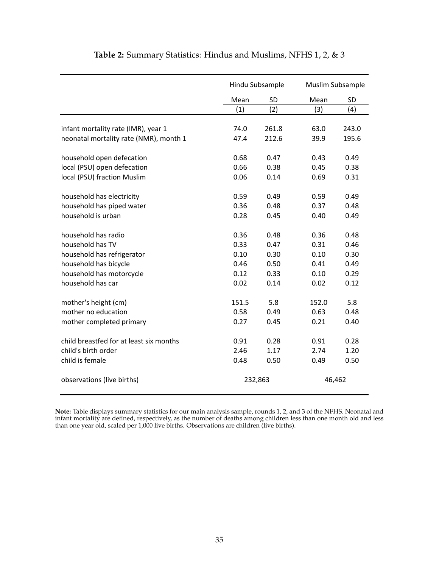<span id="page-36-0"></span>

|                                         |       | Hindu Subsample | Muslim Subsample |       |
|-----------------------------------------|-------|-----------------|------------------|-------|
|                                         | Mean  | <b>SD</b>       | Mean             | SD    |
|                                         | (1)   | (2)             | (3)              | (4)   |
| infant mortality rate (IMR), year 1     | 74.0  | 261.8           | 63.0             | 243.0 |
| neonatal mortality rate (NMR), month 1  | 47.4  | 212.6           | 39.9             | 195.6 |
|                                         |       |                 |                  |       |
| household open defecation               | 0.68  | 0.47            | 0.43             | 0.49  |
| local (PSU) open defecation             | 0.66  | 0.38            | 0.45             | 0.38  |
| local (PSU) fraction Muslim             | 0.06  | 0.14            | 0.69             | 0.31  |
| household has electricity               | 0.59  | 0.49            | 0.59             | 0.49  |
| household has piped water               | 0.36  | 0.48            | 0.37             | 0.48  |
| household is urban                      | 0.28  | 0.45            | 0.40             | 0.49  |
| household has radio                     | 0.36  | 0.48            | 0.36             | 0.48  |
| household has TV                        | 0.33  | 0.47            | 0.31             | 0.46  |
| household has refrigerator              | 0.10  | 0.30            | 0.10             | 0.30  |
| household has bicycle                   | 0.46  | 0.50            | 0.41             | 0.49  |
| household has motorcycle                | 0.12  | 0.33            | 0.10             | 0.29  |
| household has car                       | 0.02  | 0.14            | 0.02             | 0.12  |
| mother's height (cm)                    | 151.5 | 5.8             | 152.0            | 5.8   |
| mother no education                     | 0.58  | 0.49            | 0.63             | 0.48  |
| mother completed primary                | 0.27  | 0.45            | 0.21             | 0.40  |
| child breastfed for at least six months | 0.91  | 0.28            | 0.91             | 0.28  |
| child's birth order                     | 2.46  | 1.17            | 2.74             | 1.20  |
| child is female                         | 0.48  | 0.50            | 0.49             | 0.50  |
| observations (live births)              |       | 232,863         | 46,462           |       |

# **Table 2:** Summary Statistics: Hindus and Muslims, NFHS 1, 2, & 3

**Note:** Table displays summary statistics for our main analysis sample, rounds 1, 2, and 3 of the NFHS. Neonatal and infant mortality are defined, respectively, as the number of deaths among children less than one month old and less than one year old, scaled per 1,000 live births. Observations are children (live births).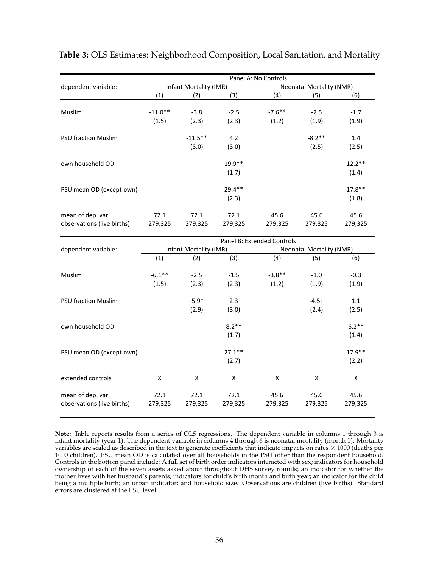|                            |           |                        |          | Panel A: No Controls |                                 |          |
|----------------------------|-----------|------------------------|----------|----------------------|---------------------------------|----------|
| dependent variable:        |           | Infant Mortality (IMR) |          |                      | <b>Neonatal Mortality (NMR)</b> |          |
|                            | (1)       | (2)                    | (3)      | (4)                  | (5)                             | (6)      |
|                            |           |                        |          |                      |                                 |          |
| Muslim                     | $-11.0**$ | $-3.8$                 | $-2.5$   | $-7.6***$            | $-2.5$                          | $-1.7$   |
|                            | (1.5)     | (2.3)                  | (2.3)    | (1.2)                | (1.9)                           | (1.9)    |
| <b>PSU fraction Muslim</b> |           | $-11.5**$              | 4.2      |                      | $-8.2**$                        | 1.4      |
|                            |           | (3.0)                  | (3.0)    |                      | (2.5)                           | (2.5)    |
| own household OD           |           |                        | $19.9**$ |                      |                                 | $12.2**$ |
|                            |           |                        | (1.7)    |                      |                                 | (1.4)    |
| PSU mean OD (except own)   |           |                        | $29.4**$ |                      |                                 | $17.8**$ |
|                            |           |                        | (2.3)    |                      |                                 | (1.8)    |
| mean of dep. var.          | 72.1      | 72.1                   | 72.1     | 45.6                 | 45.6                            | 45.6     |
| observations (live births) | 279,325   | 279,325                | 279,325  | 279,325              | 279,325                         | 279,325  |

### <span id="page-37-1"></span><span id="page-37-0"></span>**Table 3:** OLS Estimates: Neighborhood Composition, Local Sanitation, and Mortality

|                                                 | Panel B: Extended Controls |                        |                 |                 |                                 |                 |  |  |
|-------------------------------------------------|----------------------------|------------------------|-----------------|-----------------|---------------------------------|-----------------|--|--|
| dependent variable:                             |                            | Infant Mortality (IMR) |                 |                 | <b>Neonatal Mortality (NMR)</b> |                 |  |  |
|                                                 | (1)                        | (2)                    | (3)             | (4)             | (5)                             | (6)             |  |  |
| Muslim                                          | $-6.1***$                  | $-2.5$                 | $-1.5$          | $-3.8**$        | $-1.0$                          | $-0.3$          |  |  |
|                                                 | (1.5)                      | (2.3)                  | (2.3)           | (1.2)           | (1.9)                           | (1.9)           |  |  |
| <b>PSU fraction Muslim</b>                      |                            | $-5.9*$                | 2.3             |                 | $-4.5+$                         | 1.1             |  |  |
|                                                 |                            | (2.9)                  | (3.0)           |                 | (2.4)                           | (2.5)           |  |  |
| own household OD                                |                            |                        | $8.2**$         |                 |                                 | $6.2**$         |  |  |
|                                                 |                            |                        | (1.7)           |                 |                                 | (1.4)           |  |  |
| PSU mean OD (except own)                        |                            |                        | $27.1***$       |                 |                                 | $17.9***$       |  |  |
|                                                 |                            |                        | (2.7)           |                 |                                 | (2.2)           |  |  |
| extended controls                               | X                          | X                      | X               | X               | X                               | X               |  |  |
| mean of dep. var.<br>observations (live births) | 72.1<br>279,325            | 72.1<br>279,325        | 72.1<br>279,325 | 45.6<br>279,325 | 45.6<br>279,325                 | 45.6<br>279,325 |  |  |
|                                                 |                            |                        |                 |                 |                                 |                 |  |  |

**Note:** Table reports results from a series of OLS regressions. The dependent variable in columns 1 through 3 is infant mortality (year 1). The dependent variable in columns 4 through 6 is neonatal mortality (month 1). Mortality variables are scaled as described in the text to generate coefficients that indicate impacts on rates  $\times$  1000 (deaths per 1000 children). PSU mean OD is calculated over all households in the PSU other than the respondent household. Controls in the bottom panel include: A full set of birth order indicators interacted with sex; indicators for household ownership of each of the seven assets asked about throughout DHS survey rounds; an indicator for whether the mother lives with her husband's parents; indicators for child's birth month and birth year; an indicator for the child being a multiple birth; an urban indicator; and household size. Observations are children (live births). Standard errors are clustered at the PSU level.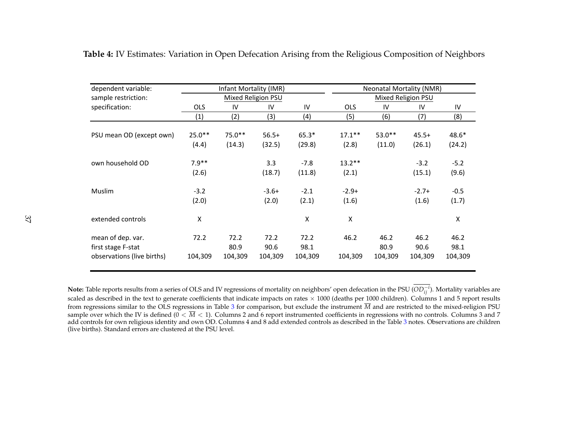| dependent variable:                     |            | Infant Mortality (IMR) |                    |              |            | <b>Neonatal Mortality (NMR)</b> |                    |              |  |
|-----------------------------------------|------------|------------------------|--------------------|--------------|------------|---------------------------------|--------------------|--------------|--|
| sample restriction:                     |            |                        | Mixed Religion PSU |              |            |                                 | Mixed Religion PSU |              |  |
| specification:                          | <b>OLS</b> | IV                     | IV                 | IV           | <b>OLS</b> | IV                              | IV                 | IV           |  |
|                                         | (1)        | (2)                    | (3)                | (4)          | (5)        | (6)                             | (7)                | (8)          |  |
|                                         |            |                        |                    |              |            |                                 |                    |              |  |
| PSU mean OD (except own)                | $25.0**$   | $75.0**$               | $56.5+$            | $65.3*$      | $17.1***$  | $53.0**$                        | $45.5+$            | $48.6*$      |  |
|                                         | (4.4)      | (14.3)                 | (32.5)             | (29.8)       | (2.8)      | (11.0)                          | (26.1)             | (24.2)       |  |
| own household OD                        | $7.9**$    |                        | 3.3                | $-7.8$       | $13.2***$  |                                 | $-3.2$             | $-5.2$       |  |
|                                         | (2.6)      |                        | (18.7)             | (11.8)       | (2.1)      |                                 | (15.1)             | (9.6)        |  |
| <b>Muslim</b>                           | $-3.2$     |                        | $-3.6+$            | $-2.1$       | $-2.9+$    |                                 | $-2.7+$            | $-0.5$       |  |
|                                         | (2.0)      |                        | (2.0)              | (2.1)        | (1.6)      |                                 | (1.6)              | (1.7)        |  |
| extended controls                       | Χ          |                        |                    | Χ            | Χ          |                                 |                    | X            |  |
| mean of dep. var.<br>first stage F-stat | 72.2       | 72.2<br>80.9           | 72.2<br>90.6       | 72.2<br>98.1 | 46.2       | 46.2<br>80.9                    | 46.2<br>90.6       | 46.2<br>98.1 |  |
| observations (live births)              | 104,309    | 104,309                | 104,309            | 104,309      | 104,309    | 104,309                         | 104,309            | 104,309      |  |

**Table 4:** IV Estimates: Variation in Open Defecation Arising from the Religious Composition of Neighbors

<span id="page-38-0"></span>**Note:** Table reports results from a series of OLS and IV regressions of mortality on neighbors' open defecation in the PSU (*OD<sup>i</sup> ij* ). Mortality variables are scaled as described in the text to generate coefficients that indicate impacts on rates  $\times$  1000 (deaths per 1000 children). Columns 1 and 5 report results from regressions similar to the OLS regressions in Table [3](#page-37-1) for comparison, but exclude the instrument *M* and are restricted to the mixed-religion PSU sample over which the IV is defined  $(0 < \overline{M} < 1)$ . Columns 2 and 6 report instrumented coefficients in regressions with no controls. Columns 3 and 7 add controls for own religious identity and own OD. Columns 4 and 8 add extended controls as described in the Table [3](#page-37-1) notes. Observations are children (live births). Standard errors are clustered at the PSU level.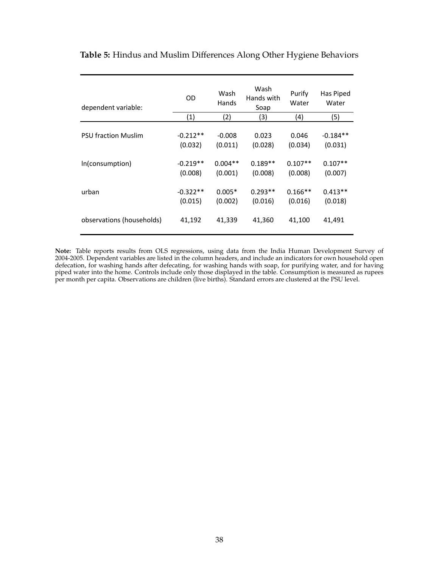| dependent variable:        | OD         | Wash<br>Hands | Wash<br>Hands with<br>Soap | Purify<br>Water | Has Piped<br>Water |
|----------------------------|------------|---------------|----------------------------|-----------------|--------------------|
|                            | (1)        | (2)           | (3)                        | (4)             | (5)                |
| <b>PSU fraction Muslim</b> | $-0.212**$ | $-0.008$      | 0.023                      | 0.046           | $-0.184**$         |
|                            | (0.032)    | (0.011)       | (0.028)                    | (0.034)         | (0.031)            |
| In(consumption)            | $-0.219**$ | $0.004**$     | $0.189**$                  | $0.107**$       | $0.107**$          |
|                            | (0.008)    | (0.001)       | (0.008)                    | (0.008)         | (0.007)            |
| urban                      | $-0.322**$ | $0.005*$      | $0.293**$                  | $0.166**$       | $0.413**$          |
|                            | (0.015)    | (0.002)       | (0.016)                    | (0.016)         | (0.018)            |
| observations (households)  | 41,192     | 41,339        | 41,360                     | 41,100          | 41,491             |

# <span id="page-39-0"></span>**Table 5:** Hindus and Muslim Differences Along Other Hygiene Behaviors

**Note:** Table reports results from OLS regressions, using data from the India Human Development Survey of 2004-2005. Dependent variables are listed in the column headers, and include an indicators for own household open defecation, for washing hands after defecating, for washing hands with soap, for purifying water, and for having piped water into the home. Controls include only those displayed in the table. Consumption is measured as rupees per month per capita. Observations are children (live births). Standard errors are clustered at the PSU level.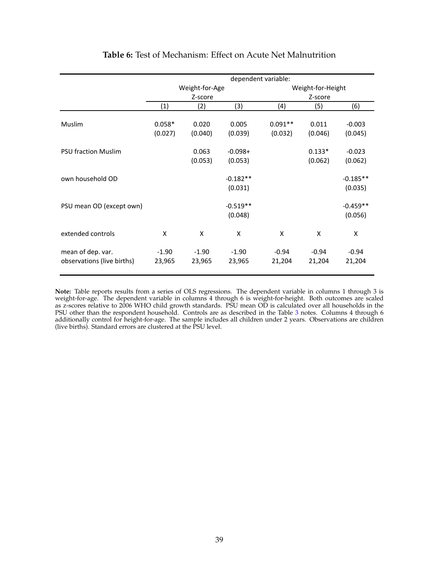<span id="page-40-0"></span>

|                                                 |                     |                   |                       | dependent variable:  |                     |                       |
|-------------------------------------------------|---------------------|-------------------|-----------------------|----------------------|---------------------|-----------------------|
|                                                 |                     | Weight-for-Age    |                       |                      | Weight-for-Height   |                       |
|                                                 |                     | Z-score           |                       |                      | Z-score             |                       |
|                                                 | (1)                 | (2)               | (3)                   | (4)                  | (5)                 | (6)                   |
| Muslim                                          | $0.058*$<br>(0.027) | 0.020<br>(0.040)  | 0.005<br>(0.039)      | $0.091**$<br>(0.032) | 0.011<br>(0.046)    | $-0.003$<br>(0.045)   |
| <b>PSU fraction Muslim</b>                      |                     | 0.063<br>(0.053)  | $-0.098+$<br>(0.053)  |                      | $0.133*$<br>(0.062) | $-0.023$<br>(0.062)   |
| own household OD                                |                     |                   | $-0.182**$<br>(0.031) |                      |                     | $-0.185**$<br>(0.035) |
| PSU mean OD (except own)                        |                     |                   | $-0.519**$<br>(0.048) |                      |                     | $-0.459**$<br>(0.056) |
| extended controls                               | X                   | X                 | X                     | X                    | X                   | X                     |
| mean of dep. var.<br>observations (live births) | $-1.90$<br>23,965   | $-1.90$<br>23,965 | $-1.90$<br>23,965     | $-0.94$<br>21,204    | $-0.94$<br>21,204   | $-0.94$<br>21,204     |

## **Table 6:** Test of Mechanism: Effect on Acute Net Malnutrition

**Note:** Table reports results from a series of OLS regressions. The dependent variable in columns 1 through 3 is weight-for-age. The dependent variable in columns 4 through 6 is weight-for-height. Both outcomes are scaled as z-scores relative to 2006 WHO child growth standards. PSU mean OD is calculated over all households in the PSU other than the respondent household. Controls are as described in the Table [3](#page-37-0) notes. Columns 4 through 6 additionally control for height-for-age. The sample includes all children under 2 years. Observations are children (live births). Standard errors are clustered at the PSU level.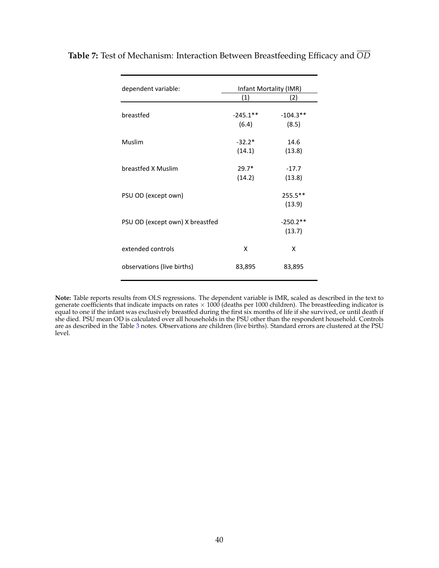| dependent variable:             | Infant Mortality (IMR) |            |  |  |
|---------------------------------|------------------------|------------|--|--|
|                                 | (1)                    | (2)        |  |  |
| breastfed                       | $-245.1$ **            | $-104.3**$ |  |  |
|                                 | (6.4)                  | (8.5)      |  |  |
| Muslim                          | $-32.2*$               | 14.6       |  |  |
|                                 | (14.1)                 | (13.8)     |  |  |
| breastfed X Muslim              | $29.7*$                | $-17.7$    |  |  |
|                                 | (14.2)                 | (13.8)     |  |  |
| PSU OD (except own)             |                        | 255.5**    |  |  |
|                                 |                        | (13.9)     |  |  |
| PSU OD (except own) X breastfed |                        | $-250.2**$ |  |  |
|                                 |                        | (13.7)     |  |  |
| extended controls               | x                      | x          |  |  |
| observations (live births)      | 83,895                 | 83,895     |  |  |

<span id="page-41-0"></span>**Table 7:** Test of Mechanism: Interaction Between Breastfeeding Efficacy and *OD*

**Note:** Table reports results from OLS regressions. The dependent variable is IMR, scaled as described in the text to generate coefficients that indicate impacts on rates × 1000 (deaths per 1000 children). The breastfeeding indicator is<br>equal to one if the infant was exclusively breastfed during the first six months of life if she survive she died. PSU mean OD is calculated over all households in the PSU other than the respondent household. Controls are as described in the Table [3](#page-37-0) notes. Observations are children (live births). Standard errors are clustered at the PSU level.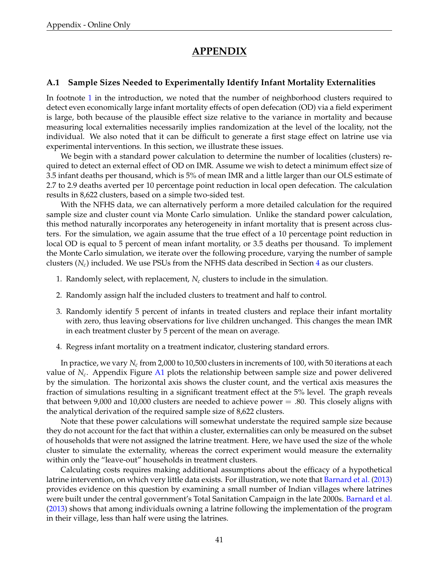# **APPENDIX**

### <span id="page-42-0"></span>**A.1 Sample Sizes Needed to Experimentally Identify Infant Mortality Externalities**

In footnote [1](#page-2-3) in the introduction, we noted that the number of neighborhood clusters required to detect even economically large infant mortality effects of open defecation (OD) via a field experiment is large, both because of the plausible effect size relative to the variance in mortality and because measuring local externalities necessarily implies randomization at the level of the locality, not the individual. We also noted that it can be difficult to generate a first stage effect on latrine use via experimental interventions. In this section, we illustrate these issues.

We begin with a standard power calculation to determine the number of localities (clusters) required to detect an external effect of OD on IMR. Assume we wish to detect a minimum effect size of 3.5 infant deaths per thousand, which is 5% of mean IMR and a little larger than our OLS estimate of 2.7 to 2.9 deaths averted per 10 percentage point reduction in local open defecation. The calculation results in 8,622 clusters, based on a simple two-sided test.

With the NFHS data, we can alternatively perform a more detailed calculation for the required sample size and cluster count via Monte Carlo simulation. Unlike the standard power calculation, this method naturally incorporates any heterogeneity in infant mortality that is present across clusters. For the simulation, we again assume that the true effect of a 10 percentage point reduction in local OD is equal to 5 percent of mean infant mortality, or 3.5 deaths per thousand. To implement the Monte Carlo simulation, we iterate over the following procedure, varying the number of sample clusters  $(N_c)$  included. We use PSUs from the NFHS data described in Section [4](#page-10-0) as our clusters.

- 1. Randomly select, with replacement,  $N_c$  clusters to include in the simulation.
- 2. Randomly assign half the included clusters to treatment and half to control.
- 3. Randomly identify 5 percent of infants in treated clusters and replace their infant mortality with zero, thus leaving observations for live children unchanged. This changes the mean IMR in each treatment cluster by 5 percent of the mean on average.
- 4. Regress infant mortality on a treatment indicator, clustering standard errors.

In practice, we vary *Nc* from 2,000 to 10,500 clusters in increments of 100, with 50 iterations at each value of *Nc*. Appendix Figure [A1](#page-45-0) plots the relationship between sample size and power delivered by the simulation. The horizontal axis shows the cluster count, and the vertical axis measures the fraction of simulations resulting in a significant treatment effect at the 5% level. The graph reveals that between 9,000 and 10,000 clusters are needed to achieve power  $=$  .80. This closely aligns with the analytical derivation of the required sample size of 8,622 clusters.

Note that these power calculations will somewhat understate the required sample size because they do not account for the fact that within a cluster, externalities can only be measured on the subset of households that were not assigned the latrine treatment. Here, we have used the size of the whole cluster to simulate the externality, whereas the correct experiment would measure the externality within only the "leave-out" households in treatment clusters.

Calculating costs requires making additional assumptions about the efficacy of a hypothetical latrine intervention, on which very little data exists. For illustration, we note that [Barnard et al.](#page-27-10) [\(2013\)](#page-27-10) provides evidence on this question by examining a small number of Indian villages where latrines were built under the central government's Total Sanitation Campaign in the late 2000s. [Barnard et al.](#page-27-10) [\(2013\)](#page-27-10) shows that among individuals owning a latrine following the implementation of the program in their village, less than half were using the latrines.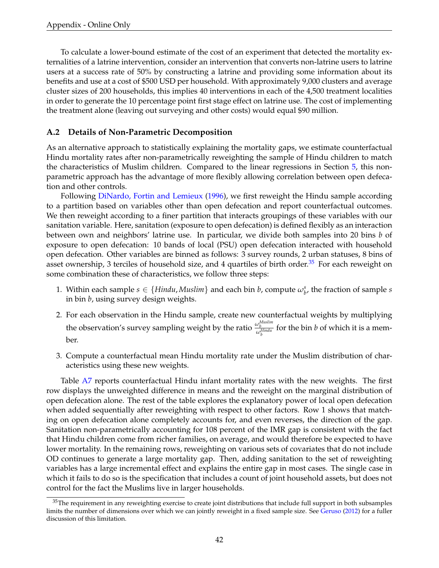To calculate a lower-bound estimate of the cost of an experiment that detected the mortality externalities of a latrine intervention, consider an intervention that converts non-latrine users to latrine users at a success rate of 50% by constructing a latrine and providing some information about its benefits and use at a cost of \$500 USD per household. With approximately 9,000 clusters and average cluster sizes of 200 households, this implies 40 interventions in each of the 4,500 treatment localities in order to generate the 10 percentage point first stage effect on latrine use. The cost of implementing the treatment alone (leaving out surveying and other costs) would equal \$90 million.

## <span id="page-43-0"></span>**A.2 Details of Non-Parametric Decomposition**

As an alternative approach to statistically explaining the mortality gaps, we estimate counterfactual Hindu mortality rates after non-parametrically reweighting the sample of Hindu children to match the characteristics of Muslim children. Compared to the linear regressions in Section [5,](#page-15-0) this nonparametric approach has the advantage of more flexibly allowing correlation between open defecation and other controls.

Following [DiNardo, Fortin and Lemieux](#page-28-16) [\(1996\)](#page-28-16), we first reweight the Hindu sample according to a partition based on variables other than open defecation and report counterfactual outcomes. We then reweight according to a finer partition that interacts groupings of these variables with our sanitation variable. Here, sanitation (exposure to open defecation) is defined flexibly as an interaction between own and neighbors' latrine use. In particular, we divide both samples into 20 bins *b* of exposure to open defecation: 10 bands of local (PSU) open defecation interacted with household open defecation. Other variables are binned as follows: 3 survey rounds, 2 urban statuses, 8 bins of asset ownership, 3 terciles of household size, and 4 quartiles of birth order.<sup>[35](#page-43-1)</sup> For each reweight on some combination these of characteristics, we follow three steps:

- 1. Within each sample  $s \in \{Hindu, Muslim\}$  and each bin *b*, compute  $\omega_b^s$ , the fraction of sample *s* in bin *b*, using survey design weights.
- 2. For each observation in the Hindu sample, create new counterfactual weights by multiplying the observation's survey sampling weight by the ratio  $\frac{\omega_b^{Muslim}}{\omega_b^{Hindu}}$  for the bin *b* of which it is a member.
- 3. Compute a counterfactual mean Hindu mortality rate under the Muslim distribution of characteristics using these new weights.

Table [A7](#page-52-0) reports counterfactual Hindu infant mortality rates with the new weights. The first row displays the unweighted difference in means and the reweight on the marginal distribution of open defecation alone. The rest of the table explores the explanatory power of local open defecation when added sequentially after reweighting with respect to other factors. Row 1 shows that matching on open defecation alone completely accounts for, and even reverses, the direction of the gap. Sanitation non-parametrically accounting for 108 percent of the IMR gap is consistent with the fact that Hindu children come from richer families, on average, and would therefore be expected to have lower mortality. In the remaining rows, reweighting on various sets of covariates that do not include OD continues to generate a large mortality gap. Then, adding sanitation to the set of reweighting variables has a large incremental effect and explains the entire gap in most cases. The single case in which it fails to do so is the specification that includes a count of joint household assets, but does not control for the fact the Muslims live in larger households.

<span id="page-43-1"></span> $35$ The requirement in any reweighting exercise to create joint distributions that include full support in both subsamples limits the number of dimensions over which we can jointly reweight in a fixed sample size. See [Geruso](#page-28-8) [\(2012\)](#page-28-8) for a fuller discussion of this limitation.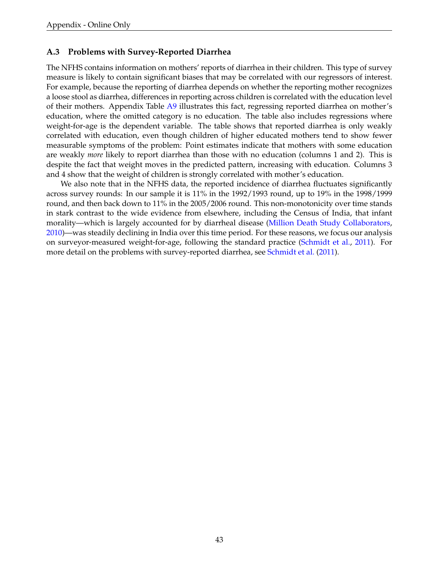### <span id="page-44-0"></span>**A.3 Problems with Survey-Reported Diarrhea**

The NFHS contains information on mothers' reports of diarrhea in their children. This type of survey measure is likely to contain significant biases that may be correlated with our regressors of interest. For example, because the reporting of diarrhea depends on whether the reporting mother recognizes a loose stool as diarrhea, differences in reporting across children is correlated with the education level of their mothers. Appendix Table [A9](#page-54-0) illustrates this fact, regressing reported diarrhea on mother's education, where the omitted category is no education. The table also includes regressions where weight-for-age is the dependent variable. The table shows that reported diarrhea is only weakly correlated with education, even though children of higher educated mothers tend to show fewer measurable symptoms of the problem: Point estimates indicate that mothers with some education are weakly *more* likely to report diarrhea than those with no education (columns 1 and 2). This is despite the fact that weight moves in the predicted pattern, increasing with education. Columns 3 and 4 show that the weight of children is strongly correlated with mother's education.

We also note that in the NFHS data, the reported incidence of diarrhea fluctuates significantly across survey rounds: In our sample it is 11% in the 1992/1993 round, up to 19% in the 1998/1999 round, and then back down to 11% in the 2005/2006 round. This non-monotonicity over time stands in stark contrast to the wide evidence from elsewhere, including the Census of India, that infant morality—which is largely accounted for by diarrheal disease [\(Million Death Study Collaborators,](#page-29-1) [2010\)](#page-29-1)—was steadily declining in India over this time period. For these reasons, we focus our analysis on surveyor-measured weight-for-age, following the standard practice [\(Schmidt et al.,](#page-30-5) [2011\)](#page-30-5). For more detail on the problems with survey-reported diarrhea, see [Schmidt et al.](#page-30-5) [\(2011\)](#page-30-5).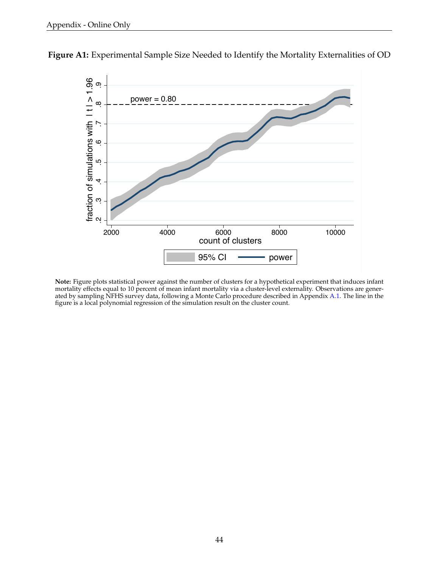

<span id="page-45-0"></span>**Figure A1:** Experimental Sample Size Needed to Identify the Mortality Externalities of OD

**Note:** Figure plots statistical power against the number of clusters for a hypothetical experiment that induces infant mortality effects equal to 10 percent of mean infant mortality via a cluster-level externality. Observations are gener-ated by sampling NFHS survey data, following a Monte Carlo procedure described in Appendix [A.1.](#page-42-0) The line in the figure is a local polynomial regression of the simulation result on the cluster count.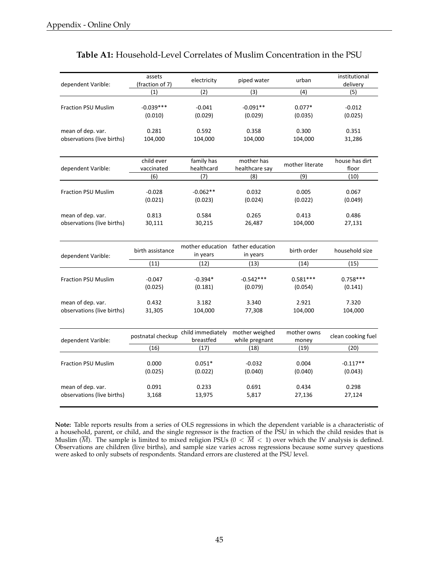<span id="page-46-0"></span>

| dependent Varible:         | assets<br>(fraction of 7)       | electricity                                   | piped water                         | urban                  | institutional<br>delivery       |
|----------------------------|---------------------------------|-----------------------------------------------|-------------------------------------|------------------------|---------------------------------|
|                            | (1)                             | (2)                                           | (3)                                 | (4)                    | (5)                             |
| <b>Fraction PSU Muslim</b> | $-0.039***$                     | $-0.041$                                      | $-0.091**$                          | $0.077*$               | $-0.012$                        |
|                            | (0.010)                         | (0.029)                                       | (0.029)                             | (0.035)                | (0.025)                         |
| mean of dep. var.          | 0.281                           | 0.592                                         | 0.358                               | 0.300                  | 0.351                           |
| observations (live births) | 104,000                         | 104,000                                       | 104,000                             | 104,000                | 31,286                          |
| dependent Varible:         | child ever<br>vaccinated<br>(6) | family has<br>healthcard<br>(7)               | mother has<br>healthcare say<br>(8) | mother literate<br>(9) | house has dirt<br>floor<br>(10) |
| <b>Fraction PSU Muslim</b> | $-0.028$                        | $-0.062**$                                    | 0.032                               | 0.005                  | 0.067                           |
|                            | (0.021)                         | (0.023)                                       | (0.024)                             | (0.022)                | (0.049)                         |
| mean of dep. var.          | 0.813                           | 0.584                                         | 0.265                               | 0.413                  | 0.486                           |
| observations (live births) | 30,111                          | 30,215                                        | 26,487                              | 104,000                | 27,131                          |
| dependent Varible:         | birth assistance                | mother education father education<br>in years | in years                            | birth order            | household size                  |
|                            | (11)                            | (12)                                          | (13)                                | (14)                   | (15)                            |
| <b>Fraction PSU Muslim</b> | $-0.047$                        | $-0.394*$                                     | $-0.542***$                         | $0.581***$             | $0.758***$                      |
|                            | (0.025)                         | (0.181)                                       | (0.079)                             | (0.054)                | (0.141)                         |
| mean of dep. var.          | 0.432                           | 3.182                                         | 3.340                               | 2.921                  | 7.320                           |
| observations (live births) | 31,305                          | 104,000                                       | 77,308                              | 104,000                | 104,000                         |
| dependent Varible:         | postnatal checkup               | child immediately<br>breastfed                | mother weighed<br>while pregnant    | mother owns<br>money   | clean cooking fuel              |
|                            | (16)                            | (17)                                          | (18)                                | (19)                   | (20)                            |
| <b>Fraction PSU Muslim</b> | 0.000                           | $0.051*$                                      | $-0.032$                            | 0.004                  | $-0.117**$                      |
|                            | (0.025)                         | (0.022)                                       | (0.040)                             | (0.040)                | (0.043)                         |
| mean of dep. var.          | 0.091                           | 0.233                                         | 0.691                               | 0.434                  | 0.298                           |
| observations (live births) | 3,168                           | 13,975                                        | 5,817                               | 27,136                 | 27,124                          |

## **Table A1:** Household-Level Correlates of Muslim Concentration in the PSU

**Note:** Table reports results from a series of OLS regressions in which the dependent variable is a characteristic of a household, parent, or child, and the single regressor is the fraction of the PSU in which the child resides that is Muslim  $(\overline{M})$ . The sample is limited to mixed religion PSUs ( $0 < \overline{M} < 1$ ) over which the IV analysis is defined. Observations are children (live births), and sample size varies across regressions because some survey questions were asked to only subsets of respondents. Standard errors are clustered at the PSU level.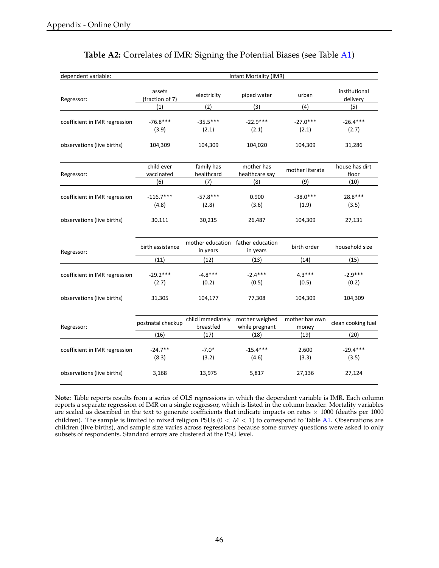<span id="page-47-0"></span>

| dependent variable:           | Infant Mortality (IMR)    |                                               |                                  |                         |                           |  |  |  |
|-------------------------------|---------------------------|-----------------------------------------------|----------------------------------|-------------------------|---------------------------|--|--|--|
| Regressor:                    | assets<br>(fraction of 7) | electricity                                   | piped water                      | urban                   | institutional<br>delivery |  |  |  |
|                               | (1)                       | (2)                                           | (3)                              | (4)                     | (5)                       |  |  |  |
| coefficient in IMR regression | $-76.8***$<br>(3.9)       | $-35.5***$<br>(2.1)                           | $-22.9***$<br>(2.1)              | $-27.0***$<br>(2.1)     | $-26.4***$<br>(2.7)       |  |  |  |
| observations (live births)    | 104,309                   | 104,309                                       | 104,020                          | 104,309                 | 31,286                    |  |  |  |
| Regressor:                    | child ever<br>vaccinated  | family has<br>healthcard                      | mother has<br>healthcare say     | mother literate         | house has dirt<br>floor   |  |  |  |
|                               | (6)                       | (7)                                           | (8)                              | (9)                     | (10)                      |  |  |  |
| coefficient in IMR regression | $-116.7***$<br>(4.8)      | $-57.8***$<br>(2.8)                           | 0.900<br>(3.6)                   | $-38.0***$<br>(1.9)     | 28.8***<br>(3.5)          |  |  |  |
| observations (live births)    | 30,111                    | 30,215                                        | 26,487                           | 104,309                 | 27,131                    |  |  |  |
| Regressor:                    | birth assistance          | mother education father education<br>in years | in years                         | birth order             | household size            |  |  |  |
|                               | (11)                      | (12)                                          | (13)                             | (14)                    | (15)                      |  |  |  |
| coefficient in IMR regression | $-29.2***$<br>(2.7)       | $-4.8***$<br>(0.2)                            | $-2.4***$<br>(0.5)               | $4.3***$<br>(0.5)       | $-2.9***$<br>(0.2)        |  |  |  |
| observations (live births)    | 31,305                    | 104,177                                       | 77,308                           | 104,309                 | 104,309                   |  |  |  |
| Regressor:                    | postnatal checkup         | child immediately<br>breastfed                | mother weighed<br>while pregnant | mother has own<br>money | clean cooking fuel        |  |  |  |
|                               | (16)                      | (17)                                          | (18)                             | (19)                    | (20)                      |  |  |  |
| coefficient in IMR regression | $-24.7**$<br>(8.3)        | $-7.0*$<br>(3.2)                              | $-15.4***$<br>(4.6)              | 2.600<br>(3.3)          | $-29.4***$<br>(3.5)       |  |  |  |
| observations (live births)    | 3,168                     | 13,975                                        | 5,817                            | 27,136                  | 27,124                    |  |  |  |

## **Table A2:** Correlates of IMR: Signing the Potential Biases (see Table [A1\)](#page-46-0)

**Note:** Table reports results from a series of OLS regressions in which the dependent variable is IMR. Each column reports a separate regression of IMR on a single regressor, which is listed in the column header. Mortality variables are scaled as described in the text to generate coefficients that indicate impacts on rates  $\times$  1000 (deaths per 1000 children). The sample is limited to mixed religion PSUs  $(0 < \overline{M} < 1)$  to correspond to Table [A1.](#page-46-0) Observations are children (live births), and sample size varies across regressions because some survey questions were asked to only subsets of respondents. Standard errors are clustered at the PSU level.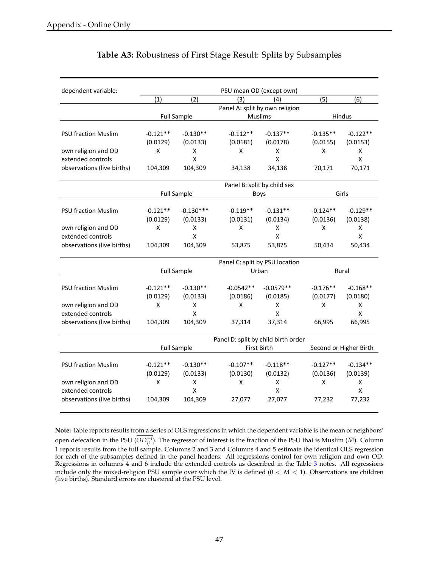<span id="page-48-0"></span>

| dependent variable:        |            |                         |             | PSU mean OD (except own)                |            |                        |
|----------------------------|------------|-------------------------|-------------|-----------------------------------------|------------|------------------------|
|                            | (1)        | (2)                     | (3)         | (4)                                     | (5)        | (6)                    |
|                            |            |                         |             | Panel A: split by own religion          |            |                        |
|                            |            | <b>Full Sample</b>      |             | <b>Muslims</b>                          |            | <b>Hindus</b>          |
|                            |            |                         |             |                                         |            |                        |
| <b>PSU fraction Muslim</b> | $-0.121**$ | $-0.130**$              | $-0.112**$  | $-0.137**$                              | $-0.135**$ | $-0.122**$             |
|                            | (0.0129)   | (0.0133)                | (0.0181)    | (0.0178)                                | (0.0155)   | (0.0153)               |
| own religion and OD        | X          | X                       | X           | X                                       | X          | X                      |
| extended controls          |            | $\mathsf{\overline{X}}$ |             | X                                       |            | $\mathsf X$            |
| observations (live births) | 104,309    | 104,309                 | 34,138      | 34,138                                  | 70,171     | 70,171                 |
|                            |            |                         |             | Panel B: split by child sex             |            |                        |
|                            |            | <b>Full Sample</b>      |             | <b>Boys</b>                             |            | Girls                  |
| <b>PSU fraction Muslim</b> | $-0.121**$ | $-0.130***$             | $-0.119**$  | $-0.131**$                              | $-0.124**$ | $-0.129**$             |
|                            | (0.0129)   | (0.0133)                | (0.0131)    | (0.0134)                                | (0.0136)   | (0.0138)               |
| own religion and OD        | X          | X                       | X           | X                                       | X          | X                      |
| extended controls          |            | X                       |             | Χ                                       |            | X                      |
| observations (live births) | 104,309    | 104,309                 | 53,875      | 53,875                                  | 50,434     | 50,434                 |
|                            |            |                         |             |                                         |            |                        |
|                            |            | <b>Full Sample</b>      |             | Panel C: split by PSU location<br>Urban | Rural      |                        |
|                            |            |                         |             |                                         |            |                        |
| <b>PSU fraction Muslim</b> | $-0.121**$ | $-0.130**$              | $-0.0542**$ | $-0.0579**$                             | $-0.176**$ | $-0.168**$             |
|                            | (0.0129)   | (0.0133)                | (0.0186)    | (0.0185)                                | (0.0177)   | (0.0180)               |
| own religion and OD        | X          | X                       | X           | Χ                                       | X          | X                      |
| extended controls          |            | X                       |             | X                                       |            | X                      |
| observations (live births) | 104,309    | 104,309                 | 37,314      | 37,314                                  | 66,995     | 66,995                 |
|                            |            |                         |             | Panel D: split by child birth order     |            |                        |
|                            |            | <b>Full Sample</b>      |             | <b>First Birth</b>                      |            | Second or Higher Birth |
|                            |            |                         |             |                                         |            |                        |
| <b>PSU fraction Muslim</b> | $-0.121**$ | $-0.130**$              | $-0.107**$  | $-0.118**$                              | $-0.127**$ | $-0.134**$             |
|                            | (0.0129)   | (0.0133)                | (0.0130)    | (0.0132)                                | (0.0136)   | (0.0139)               |
| own religion and OD        | X          | X                       | X           | X                                       | X          | X                      |
| extended controls          |            | $\mathsf{\overline{X}}$ |             | Χ                                       |            | X                      |
| observations (live births) | 104,309    | 104,309                 | 27,077      | 27,077                                  | 77,232     | 77,232                 |

## **Table A3:** Robustness of First Stage Result: Splits by Subsamples

**Note:** Table reports results from a series of OLS regressions in which the dependent variable is the mean of neighbors' open defecation in the PSU ( $OD_{ij}^{-i}$ ). The regressor of interest is the fraction of the PSU that is Muslim ( $\overline{M}$ ). Column 1 reports results from the full sample. Columns 2 and 3 and Columns 4 and 5 estimate the identical OLS regression for each of the subsamples defined in the panel headers. All regressions control for own religion and own OD. Regressions in columns 4 and 6 include the extended controls as described in the Table [3](#page-37-0) notes. All regressions include only the mixed-religion PSU sample over which the IV is defined  $(0 < \overline{M} < 1)$ . Observations are children (live births). Standard errors are clustered at the PSU level.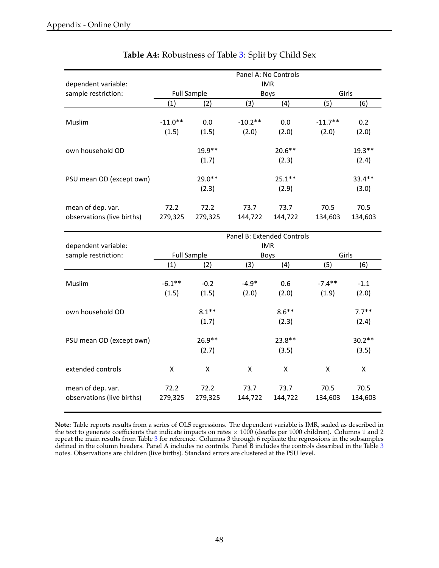<span id="page-49-0"></span>

|                            | Panel A: No Controls<br><b>IMR</b> |                    |                            |           |           |          |  |  |
|----------------------------|------------------------------------|--------------------|----------------------------|-----------|-----------|----------|--|--|
| dependent variable:        |                                    |                    |                            |           |           |          |  |  |
| sample restriction:        |                                    | <b>Full Sample</b> |                            | Boys      |           | Girls    |  |  |
|                            | (1)                                | (2)                | (3)                        | (4)       | (5)       | (6)      |  |  |
|                            |                                    |                    |                            |           |           |          |  |  |
| Muslim                     | $-11.0**$                          | 0.0                | $-10.2**$                  | 0.0       | $-11.7**$ | 0.2      |  |  |
|                            | (1.5)                              | (1.5)              | (2.0)                      | (2.0)     | (2.0)     | (2.0)    |  |  |
|                            |                                    |                    |                            |           |           |          |  |  |
| own household OD           |                                    | $19.9**$           |                            | $20.6**$  |           | $19.3**$ |  |  |
|                            |                                    | (1.7)              |                            | (2.3)     |           | (2.4)    |  |  |
|                            |                                    |                    |                            |           |           |          |  |  |
| PSU mean OD (except own)   |                                    | $29.0**$           |                            | $25.1***$ |           | $33.4**$ |  |  |
|                            |                                    | (2.3)              |                            | (2.9)     |           | (3.0)    |  |  |
|                            |                                    |                    |                            |           |           |          |  |  |
| mean of dep. var.          | 72.2                               | 72.2               | 73.7                       | 73.7      | 70.5      | 70.5     |  |  |
| observations (live births) | 279,325                            | 279,325            | 144,722                    | 144,722   | 134,603   | 134,603  |  |  |
|                            |                                    |                    |                            |           |           |          |  |  |
|                            |                                    |                    | Panel B: Extended Controls |           |           |          |  |  |

# **Table A4:** Robustness of Table [3:](#page-37-0) Split by Child Sex

|                                                 | Panel B: Extended Controls |                 |                 |                 |                 |                 |  |  |
|-------------------------------------------------|----------------------------|-----------------|-----------------|-----------------|-----------------|-----------------|--|--|
| dependent variable:                             | <b>IMR</b>                 |                 |                 |                 |                 |                 |  |  |
| sample restriction:                             | <b>Full Sample</b>         |                 |                 | Boys            | Girls           |                 |  |  |
|                                                 | (1)                        | (2)             | (3)             | (4)             | (5)             | (6)             |  |  |
|                                                 |                            |                 |                 |                 |                 |                 |  |  |
| Muslim                                          | $-6.1***$                  | $-0.2$          | $-4.9*$         | 0.6             | $-7.4**$        | $-1.1$          |  |  |
|                                                 | (1.5)                      | (1.5)           | (2.0)           | (2.0)           | (1.9)           | (2.0)           |  |  |
| own household OD                                |                            | $8.1***$        |                 | $8.6***$        |                 | $7.7***$        |  |  |
|                                                 |                            | (1.7)           |                 | (2.3)           |                 | (2.4)           |  |  |
| PSU mean OD (except own)                        |                            | $26.9**$        |                 | 23.8**          |                 | $30.2**$        |  |  |
|                                                 |                            | (2.7)           |                 | (3.5)           |                 | (3.5)           |  |  |
| extended controls                               | X                          | X               | X               | X               | X               | X               |  |  |
| mean of dep. var.<br>observations (live births) | 72.2<br>279,325            | 72.2<br>279,325 | 73.7<br>144,722 | 73.7<br>144,722 | 70.5<br>134,603 | 70.5<br>134,603 |  |  |
|                                                 |                            |                 |                 |                 |                 |                 |  |  |

**Note:** Table reports results from a series of OLS regressions. The dependent variable is IMR, scaled as described in the text to generate coefficients that indicate impacts on rates  $\times$  1000 (deaths per 1000 children). Columns 1 and 2 repeat the main results from Table [3](#page-37-0) for reference. Columns 3 through 6 replicate the regressions in the subsamples defined in the column headers. Panel A includes no controls. Panel B includes the controls described in the Table [3](#page-37-0) notes. Observations are children (live births). Standard errors are clustered at the PSU level.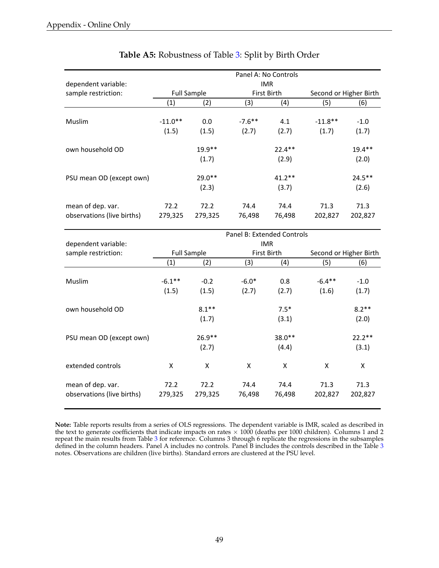<span id="page-50-0"></span>

|                            | Panel A: No Controls |                    |           |             |                        |           |  |  |
|----------------------------|----------------------|--------------------|-----------|-------------|------------------------|-----------|--|--|
| dependent variable:        | <b>IMR</b>           |                    |           |             |                        |           |  |  |
| sample restriction:        |                      | <b>Full Sample</b> |           | First Birth | Second or Higher Birth |           |  |  |
|                            | (1)                  | (2)                | (3)       | (4)         | (5)                    | (6)       |  |  |
|                            |                      |                    |           |             |                        |           |  |  |
| Muslim                     | $-11.0**$            | 0.0                | $-7.6$ ** | 4.1         | $-11.8**$              | $-1.0$    |  |  |
|                            | (1.5)                | (1.5)              | (2.7)     | (2.7)       | (1.7)                  | (1.7)     |  |  |
| own household OD           |                      | $19.9**$           |           | $22.4***$   |                        | $19.4**$  |  |  |
|                            |                      | (1.7)              |           | (2.9)       |                        | (2.0)     |  |  |
| PSU mean OD (except own)   |                      | $29.0**$           |           | $41.2**$    |                        | $24.5***$ |  |  |
|                            |                      | (2.3)              |           | (3.7)       |                        | (2.6)     |  |  |
| mean of dep. var.          | 72.2                 | 72.2               | 74.4      | 74.4        | 71.3                   | 71.3      |  |  |
| observations (live births) | 279,325              | 279,325            | 76,498    | 76,498      | 202,827                | 202,827   |  |  |

## **Table A5:** Robustness of Table [3:](#page-37-0) Split by Birth Order

|                            | Panel B: Extended Controls |                    |             |          |                        |          |  |  |
|----------------------------|----------------------------|--------------------|-------------|----------|------------------------|----------|--|--|
| dependent variable:        | IMR.                       |                    |             |          |                        |          |  |  |
| sample restriction:        |                            | <b>Full Sample</b> | First Birth |          | Second or Higher Birth |          |  |  |
|                            | (1)                        | (2)                | (3)         | (4)      | (5)                    | (6)      |  |  |
|                            |                            |                    |             |          |                        |          |  |  |
| Muslim                     | $-6.1***$                  | $-0.2$             | $-6.0*$     | 0.8      | $-6.4**$               | $-1.0$   |  |  |
|                            | (1.5)                      | (1.5)              | (2.7)       | (2.7)    | (1.6)                  | (1.7)    |  |  |
| own household OD           |                            | $8.1**$            |             | $7.5*$   |                        | $8.2**$  |  |  |
|                            |                            | (1.7)              |             | (3.1)    |                        | (2.0)    |  |  |
| PSU mean OD (except own)   |                            | $26.9**$           |             | $38.0**$ |                        | $22.2**$ |  |  |
|                            |                            | (2.7)              |             | (4.4)    |                        | (3.1)    |  |  |
| extended controls          | X                          | X                  | X           | X        | X                      | X        |  |  |
| mean of dep. var.          | 72.2                       | 72.2               | 74.4        | 74.4     | 71.3                   | 71.3     |  |  |
| observations (live births) | 279,325                    | 279,325            | 76,498      | 76,498   | 202,827                | 202,827  |  |  |
|                            |                            |                    |             |          |                        |          |  |  |

**Note:** Table reports results from a series of OLS regressions. The dependent variable is IMR, scaled as described in the text to generate coefficients that indicate impacts on rates  $\times$  1000 (deaths per 1000 children). Columns 1 and 2 repeat the main results from Table [3](#page-37-0) for reference. Columns 3 through 6 replicate the regressions in the subsamples defined in the column headers. Panel A includes no controls. Panel B includes the controls described in the Table [3](#page-37-0) notes. Observations are children (live births). Standard errors are clustered at the PSU level.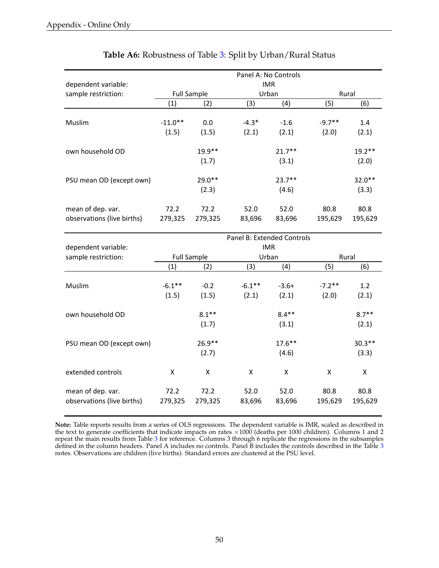<span id="page-51-0"></span>

|                            |           |                    |                            | Panel A: No Controls |          |          |
|----------------------------|-----------|--------------------|----------------------------|----------------------|----------|----------|
| dependent variable:        |           |                    |                            | <b>IMR</b>           |          |          |
| sample restriction:        |           | <b>Full Sample</b> | Urban                      |                      | Rural    |          |
|                            | (1)       | (2)                | (3)                        | (4)                  | (5)      | (6)      |
|                            |           |                    |                            |                      |          |          |
| Muslim                     | $-11.0**$ | 0.0                | $-4.3*$                    | $-1.6$               | $-9.7**$ | 1.4      |
|                            | (1.5)     | (1.5)              | (2.1)                      | (2.1)                | (2.0)    | (2.1)    |
| own household OD           |           | $19.9**$           |                            | $21.7***$            |          | $19.2**$ |
|                            |           | (1.7)              |                            | (3.1)                |          | (2.0)    |
| PSU mean OD (except own)   |           | $29.0**$           |                            | $23.7***$            |          | $32.0**$ |
|                            |           | (2.3)              |                            | (4.6)                |          | (3.3)    |
| mean of dep. var.          | 72.2      | 72.2               | 52.0                       | 52.0                 | 80.8     | 80.8     |
| observations (live births) | 279,325   | 279,325            | 83,696                     | 83,696               | 195,629  | 195,629  |
|                            |           |                    | Panel B: Extended Controls |                      |          |          |
| dependent variable:        |           |                    |                            | <b>IMR</b>           |          |          |
| sample restriction:        |           | <b>Full Sample</b> |                            | Urban                |          | Rural    |
|                            | (1)       | (2)                | (3)                        | (4)                  | (5)      | (6)      |
|                            |           |                    |                            |                      |          |          |
| Muslim                     | $-6.1***$ | $-0.2$             | $-6.1***$                  | $-3.6+$              | $-7.2**$ | 1.2      |
|                            | (1.5)     | (1.5)              | (2.1)                      | (2.1)                | (2.0)    | (2.1)    |
| own household OD           |           | $8.1***$           |                            | $8.4**$              |          | $8.7**$  |

# **Table A6:** Robustness of Table [3:](#page-37-0) Split by Urban/Rural Status

**Note:** Table reports results from a series of OLS regressions. The dependent variable is IMR, scaled as described in the text to generate coefficients that indicate impacts on rates  $\times 1000$  (deaths per 1000 children). Columns 1 and 2 repeat the main results from Table [3](#page-37-0) for reference. Columns 3 through 6 replicate the regressions in the subsamples defined in the column headers. Panel A includes no controls. Panel B includes the controls described in the Table [3](#page-37-0) notes. Observations are children (live births). Standard errors are clustered at the PSU level.

PSU mean OD (except own)  $26.9**$  26.9<sup>\*\*</sup> 17.6<sup>\*\*</sup> 20.3<sup>\*\*</sup>

extended controls  $X$  X X X X X X

mean&of&dep.&var. 72.2 72.2 52.0 52.0 80.8 80.8 observations&(live&births) 279,325 279,325 83,696 83,696 195,629 195,629

 $(1.7)$   $(3.1)$   $(2.1)$ 

 $(2.7)$   $(4.6)$   $(3.3)$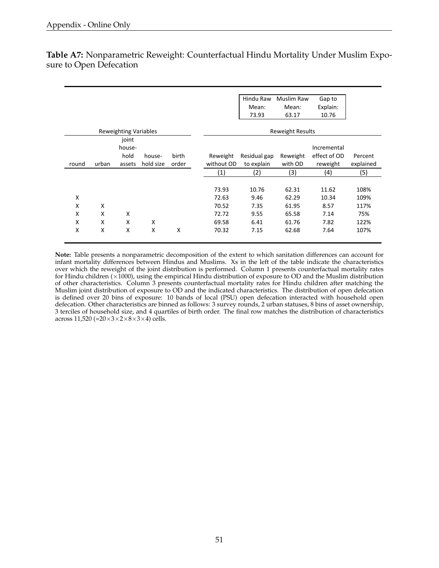| birth |            | Mean:<br>73.93 | Mean:<br>63.17<br><b>Reweight Results</b> | Explain:<br>10.76 |           |
|-------|------------|----------------|-------------------------------------------|-------------------|-----------|
|       |            |                |                                           |                   |           |
|       |            |                |                                           |                   |           |
|       |            |                |                                           |                   |           |
|       |            |                |                                           |                   |           |
|       |            |                |                                           | Incremental       |           |
|       | Reweight   | Residual gap   | Reweight                                  | effect of OD      | Percent   |
| order | without OD | to explain     | with OD                                   | reweight          | explained |
|       | (1)        | (2)            | (3)                                       | (4)               | (5)       |
|       |            |                |                                           |                   |           |
|       | 73.93      | 10.76          | 62.31                                     | 11.62             | 108%      |
|       | 72.63      | 9.46           | 62.29                                     | 10.34             | 109%      |
|       | 70.52      | 7.35           | 61.95                                     | 8.57              | 117%      |
|       | 72.72      | 9.55           | 65.58                                     | 7.14              | 75%       |
|       | 69.58      | 6.41           | 61.76                                     | 7.82              | 122%      |
| X     | 70.32      | 7.15           | 62.68                                     | 7.64              | 107%      |
|       |            |                |                                           |                   |           |

<span id="page-52-0"></span>**Table A7:** Nonparametric Reweight: Counterfactual Hindu Mortality Under Muslim Exposure to Open Defecation

**Note:** Table presents a nonparametric decomposition of the extent to which sanitation differences can account for infant mortality differences between Hindus and Muslims. Xs in the left of the table indicate the characteristics over which the reweight of the joint distribution is performed. Column 1 presents counterfactual mortality rates for Hindu children ( $\times$ 1000), using the empirical Hindu distribution of exposure to OD and the Muslim distribution of other characteristics. Column 3 presents counterfactual mortality rates for Hindu children after matching the Muslim joint distribution of exposure to OD and the indicated characteristics. The distribution of open defecation is defined over 20 bins of exposure: 10 bands of local (PSU) open defecation interacted with household open defecation. Other characteristics are binned as follows: 3 survey rounds, 2 urban statuses, 8 bins of asset ownership, 3 terciles of household size, and 4 quartiles of birth order. The final row matches the distribution of characteristics across 11,520 (= $20 \times 3 \times 2 \times 8 \times 3 \times 4$ ) cells.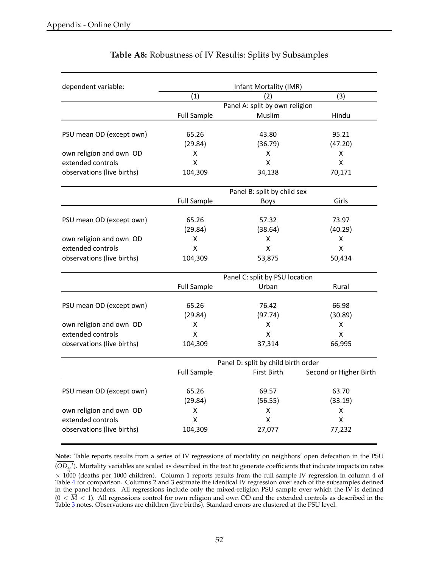<span id="page-53-0"></span>

| dependent variable:                          |                    | Infant Mortality (IMR)              |                        |
|----------------------------------------------|--------------------|-------------------------------------|------------------------|
|                                              | (1)                | (2)                                 | (3)                    |
|                                              |                    | Panel A: split by own religion      |                        |
|                                              | <b>Full Sample</b> | Muslim                              | Hindu                  |
|                                              |                    |                                     |                        |
| PSU mean OD (except own)                     | 65.26              | 43.80                               | 95.21                  |
|                                              | (29.84)            | (36.79)                             | (47.20)                |
| own religion and own OD                      | X                  | X                                   | x                      |
| extended controls                            | X                  | $\mathsf{X}$                        | X                      |
| observations (live births)                   | 104,309            | 34,138                              | 70,171                 |
|                                              |                    | Panel B: split by child sex         |                        |
|                                              | <b>Full Sample</b> | Boys                                | Girls                  |
| PSU mean OD (except own)                     | 65.26              | 57.32                               | 73.97                  |
|                                              | (29.84)            | (38.64)                             | (40.29)                |
| own religion and own OD                      | X                  | X                                   | x                      |
| extended controls                            | X                  | X                                   | X                      |
| observations (live births)                   | 104,309            | 53,875                              | 50,434                 |
|                                              |                    | Panel C: split by PSU location      |                        |
|                                              | <b>Full Sample</b> | Urban                               | Rural                  |
| PSU mean OD (except own)                     | 65.26              | 76.42                               | 66.98                  |
|                                              | (29.84)            | (97.74)                             | (30.89)                |
| own religion and own OD                      | x                  | X                                   | Χ                      |
| extended controls                            | x                  | X                                   | X                      |
| observations (live births)                   | 104,309            | 37,314                              | 66,995                 |
|                                              |                    | Panel D: split by child birth order |                        |
|                                              | <b>Full Sample</b> | First Birth                         | Second or Higher Birth |
| PSU mean OD (except own)                     | 65.26              | 69.57                               | 63.70                  |
|                                              |                    |                                     |                        |
|                                              | (29.84)            | (56.55)                             | (33.19)                |
| own religion and own OD<br>extended controls | X<br>X             | X<br>X                              | x                      |
|                                              |                    |                                     | Χ                      |
| observations (live births)                   | 104,309            | 27,077                              | 77,232                 |

## **Table A8:** Robustness of IV Results: Splits by Subsamples

**Note:** Table reports results from a series of IV regressions of mortality on neighbors' open defecation in the PSU  $(OD_{ij}^{-i})$ . Mortality variables are scaled as described in the text to generate coefficients that indicate impacts on rates  $\times$  1000 (deaths per 1000 children). Column 1 reports results from the full sample IV regression in column 4 of Table [4](#page-38-0) for comparison. Columns 2 and 3 estimate the identical IV regression over each of the subsamples defined in the panel headers. All regressions include only the mixed-religion PSU sample over which the IV is defined  $(0 < \overline{M} < 1)$ . All regressions control for own religion and own OD and the extended controls as described in the Table [3](#page-37-0) notes. Observations are children (live births). Standard errors are clustered at the PSU level.